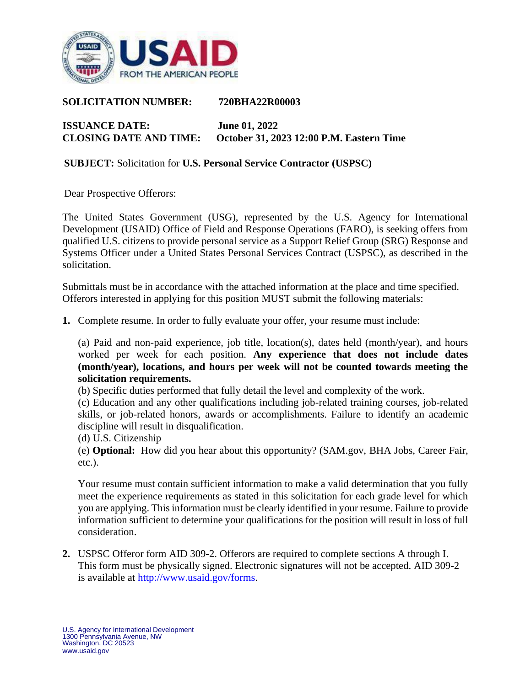

### **SOLICITATION NUMBER: 720BHA22R00003**

## **ISSUANCE DATE: June 01, 2022 CLOSING DATE AND TIME: October 31, 2023 12:00 P.M. Eastern Time**

**SUBJECT:** Solicitation for **U.S. Personal Service Contractor (USPSC)**

Dear Prospective Offerors:

The United States Government (USG), represented by the U.S. Agency for International Development (USAID) Office of Field and Response Operations (FARO), is seeking offers from qualified U.S. citizens to provide personal service as a Support Relief Group (SRG) Response and Systems Officer under a United States Personal Services Contract (USPSC), as described in the solicitation.

Submittals must be in accordance with the attached information at the place and time specified. Offerors interested in applying for this position MUST submit the following materials:

**1.** Complete resume. In order to fully evaluate your offer, your resume must include:

(a) Paid and non-paid experience, job title, location(s), dates held (month/year), and hours worked per week for each position. **Any experience that does not include dates (month/year), locations, and hours per week will not be counted towards meeting the solicitation requirements.**

(b) Specific duties performed that fully detail the level and complexity of the work.

(c) Education and any other qualifications including job-related training courses, job-related skills, or job-related honors, awards or accomplishments. Failure to identify an academic discipline will result in disqualification.

(d) U.S. Citizenship

(e) **Optional:** How did you hear about this opportunity? (SAM.gov, BHA Jobs, Career Fair, etc.).

Your resume must contain sufficient information to make a valid determination that you fully meet the experience requirements as stated in this solicitation for each grade level for which you are applying. This information must be clearly identified in your resume. Failure to provide information sufficient to determine your qualifications for the position will result in loss of full consideration.

**2.** USPSC Offeror form AID 309-2. Offerors are required to complete sections A through I. This form must be physically signed. Electronic signatures will not be accepted. AID 309-2 is available at http://www.usaid.gov/forms.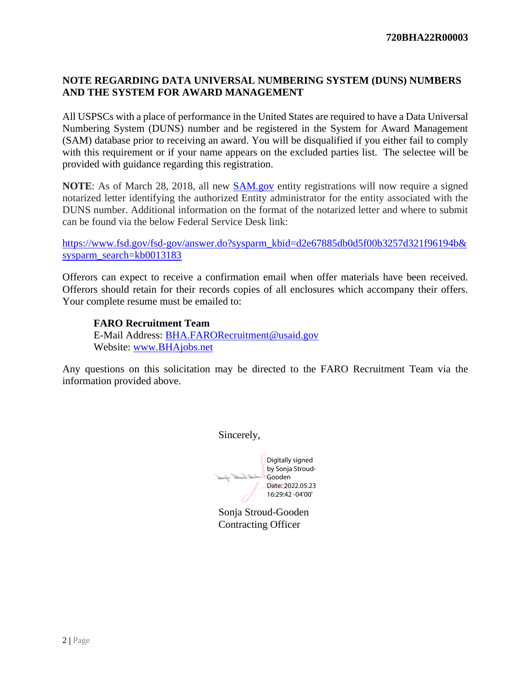### **NOTE REGARDING DATA UNIVERSAL NUMBERING SYSTEM (DUNS) NUMBERS AND THE SYSTEM FOR AWARD MANAGEMENT**

All USPSCs with a place of performance in the United States are required to have a Data Universal Numbering System (DUNS) number and be registered in the System for Award Management (SAM) database prior to receiving an award. You will be disqualified if you either fail to comply with this requirement or if your name appears on the excluded parties list. The selectee will be provided with guidance regarding this registration.

**NOTE**: As of March 28, 2018, all new [SAM.gov](http://sam.gov/) entity registrations will now require a signed notarized letter identifying the authorized Entity administrator for the entity associated with the DUNS number. Additional information on the format of the notarized letter and where to submit can be found via the below Federal Service Desk link:

[https://www.fsd.gov/fsd-gov/answer.do?sysparm\\_kbid=d2e67885db0d5f00b3257d321f96194b&](https://www.fsd.gov/fsd-gov/answer.do?sysparm_kbid=d2e67885db0d5f00b3257d321f96194b&) sysparm\_search=kb0013183

Offerors can expect to receive a confirmation email when offer materials have been received. Offerors should retain for their records copies of all enclosures which accompany their offers. Your complete resume must be emailed to:

**FARO Recruitment Team** E-Mail Address: [BHA.FARORecruitment@usaid.gov](mailto:BHA.FARORecruitment@usaid.gov) Website: [www.BHAjobs.net](http://www.bhajobs.net/)

Any questions on this solicitation may be directed to the FARO Recruitment Team via the information provided above.

Sincerely,

Digitally signed by Sonja Stroud-Good Sunder Gooden Date: 2022.05.23 16:29:42 -04'00'

Sonja Stroud-Gooden Contracting Officer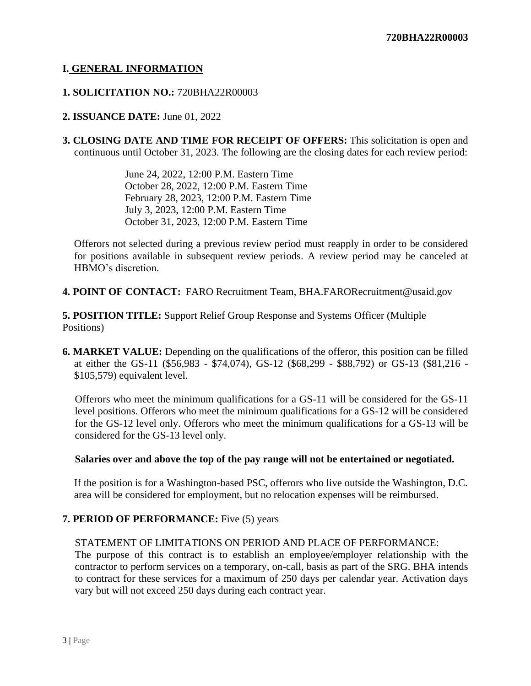# **I. GENERAL INFORMATION**

### **1. SOLICITATION NO.:** 720BHA22R00003

#### **2. ISSUANCE DATE:** June 01, 2022

**3. CLOSING DATE AND TIME FOR RECEIPT OF OFFERS:** This solicitation is open and continuous until October 31, 2023. The following are the closing dates for each review period:

> June 24, 2022, 12:00 P.M. Eastern Time October 28, 2022, 12:00 P.M. Eastern Time February 28, 2023, 12:00 P.M. Eastern Time July 3, 2023, 12:00 P.M. Eastern Time October 31, 2023, 12:00 P.M. Eastern Time

Offerors not selected during a previous review period must reapply in order to be considered for positions available in subsequent review periods. A review period may be canceled at HBMO's discretion.

**4. POINT OF CONTACT:** FARO Recruitment Team, BHA.FARORecruitment@usaid.gov

**5. POSITION TITLE:** Support Relief Group Response and Systems Officer (Multiple Positions)

**6. MARKET VALUE:** Depending on the qualifications of the offeror, this position can be filled at either the GS-11 (\$56,983 - \$74,074), GS-12 (\$68,299 - \$88,792) or GS-13 (\$81,216 - \$105,579) equivalent level.

Offerors who meet the minimum qualifications for a GS-11 will be considered for the GS-11 level positions. Offerors who meet the minimum qualifications for a GS-12 will be considered for the GS-12 level only. Offerors who meet the minimum qualifications for a GS-13 will be considered for the GS-13 level only.

#### **Salaries over and above the top of the pay range will not be entertained or negotiated.**

If the position is for a Washington-based PSC, offerors who live outside the Washington, D.C. area will be considered for employment, but no relocation expenses will be reimbursed.

#### **7. PERIOD OF PERFORMANCE:** Five (5) years

#### STATEMENT OF LIMITATIONS ON PERIOD AND PLACE OF PERFORMANCE:

The purpose of this contract is to establish an employee/employer relationship with the contractor to perform services on a temporary, on-call, basis as part of the SRG. BHA intends to contract for these services for a maximum of 250 days per calendar year. Activation days vary but will not exceed 250 days during each contract year.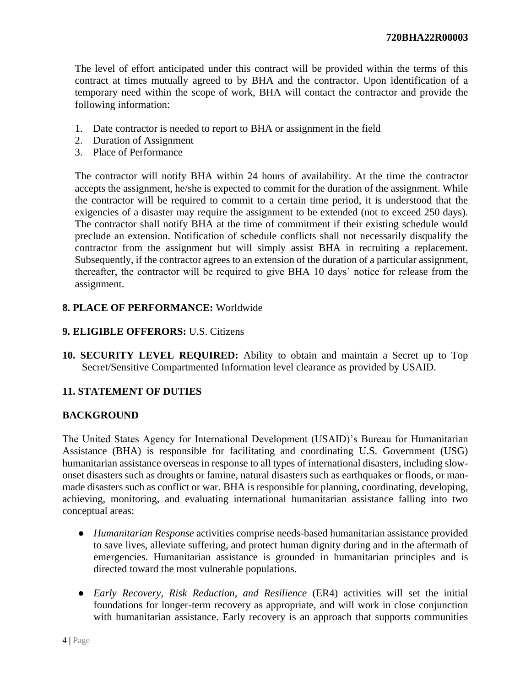The level of effort anticipated under this contract will be provided within the terms of this contract at times mutually agreed to by BHA and the contractor. Upon identification of a temporary need within the scope of work, BHA will contact the contractor and provide the following information:

- 1. Date contractor is needed to report to BHA or assignment in the field
- 2. Duration of Assignment
- 3. Place of Performance

The contractor will notify BHA within 24 hours of availability. At the time the contractor accepts the assignment, he/she is expected to commit for the duration of the assignment. While the contractor will be required to commit to a certain time period, it is understood that the exigencies of a disaster may require the assignment to be extended (not to exceed 250 days). The contractor shall notify BHA at the time of commitment if their existing schedule would preclude an extension. Notification of schedule conflicts shall not necessarily disqualify the contractor from the assignment but will simply assist BHA in recruiting a replacement. Subsequently, if the contractor agrees to an extension of the duration of a particular assignment, thereafter, the contractor will be required to give BHA 10 days' notice for release from the assignment.

### **8. PLACE OF PERFORMANCE:** Worldwide

#### **9. ELIGIBLE OFFERORS:** U.S. Citizens

**10. SECURITY LEVEL REQUIRED:** Ability to obtain and maintain a Secret up to Top Secret/Sensitive Compartmented Information level clearance as provided by USAID.

#### **11. STATEMENT OF DUTIES**

#### **BACKGROUND**

The United States Agency for International Development (USAID)'s Bureau for Humanitarian Assistance (BHA) is responsible for facilitating and coordinating U.S. Government (USG) humanitarian assistance overseas in response to all types of international disasters, including slowonset disasters such as droughts or famine, natural disasters such as earthquakes or floods, or manmade disasters such as conflict or war. BHA is responsible for planning, coordinating, developing, achieving, monitoring, and evaluating international humanitarian assistance falling into two conceptual areas:

- *Humanitarian Response* activities comprise needs-based humanitarian assistance provided to save lives, alleviate suffering, and protect human dignity during and in the aftermath of emergencies. Humanitarian assistance is grounded in humanitarian principles and is directed toward the most vulnerable populations.
- *Early Recovery, Risk Reduction, and Resilience* (ER4) activities will set the initial foundations for longer-term recovery as appropriate, and will work in close conjunction with humanitarian assistance. Early recovery is an approach that supports communities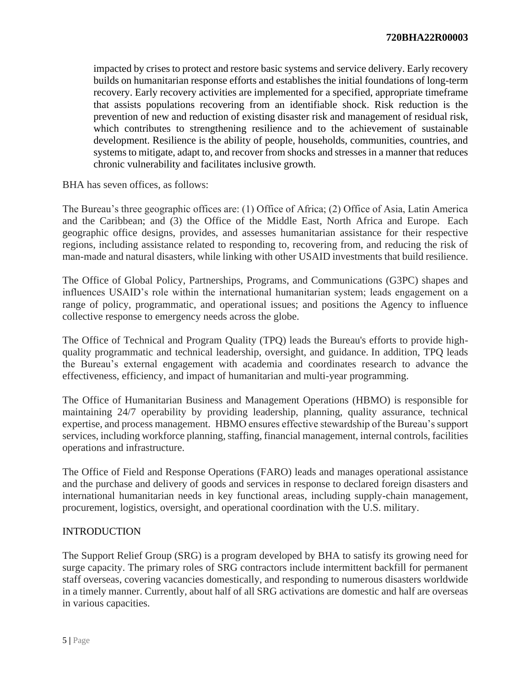impacted by crises to protect and restore basic systems and service delivery. Early recovery builds on humanitarian response efforts and establishes the initial foundations of long-term recovery. Early recovery activities are implemented for a specified, appropriate timeframe that assists populations recovering from an identifiable shock. Risk reduction is the prevention of new and reduction of existing disaster risk and management of residual risk, which contributes to strengthening resilience and to the achievement of sustainable development. Resilience is the ability of people, households, communities, countries, and systems to mitigate, adapt to, and recover from shocks and stresses in a manner that reduces chronic vulnerability and facilitates inclusive growth.

BHA has seven offices, as follows:

The Bureau's three geographic offices are: (1) Office of Africa; (2) Office of Asia, Latin America and the Caribbean; and (3) the Office of the Middle East, North Africa and Europe. Each geographic office designs, provides, and assesses humanitarian assistance for their respective regions, including assistance related to responding to, recovering from, and reducing the risk of man-made and natural disasters, while linking with other USAID investments that build resilience.

The Office of Global Policy, Partnerships, Programs, and Communications (G3PC) shapes and influences USAID's role within the international humanitarian system; leads engagement on a range of policy, programmatic, and operational issues; and positions the Agency to influence collective response to emergency needs across the globe.

The Office of Technical and Program Quality (TPQ) leads the Bureau's efforts to provide highquality programmatic and technical leadership, oversight, and guidance. In addition, TPQ leads the Bureau's external engagement with academia and coordinates research to advance the effectiveness, efficiency, and impact of humanitarian and multi-year programming.

The Office of Humanitarian Business and Management Operations (HBMO) is responsible for maintaining 24/7 operability by providing leadership, planning, quality assurance, technical expertise, and process management. HBMO ensures effective stewardship of the Bureau's support services, including workforce planning, staffing, financial management, internal controls, facilities operations and infrastructure.

The Office of Field and Response Operations (FARO) leads and manages operational assistance and the purchase and delivery of goods and services in response to declared foreign disasters and international humanitarian needs in key functional areas, including supply-chain management, procurement, logistics, oversight, and operational coordination with the U.S. military.

#### INTRODUCTION

The Support Relief Group (SRG) is a program developed by BHA to satisfy its growing need for surge capacity. The primary roles of SRG contractors include intermittent backfill for permanent staff overseas, covering vacancies domestically, and responding to numerous disasters worldwide in a timely manner. Currently, about half of all SRG activations are domestic and half are overseas in various capacities.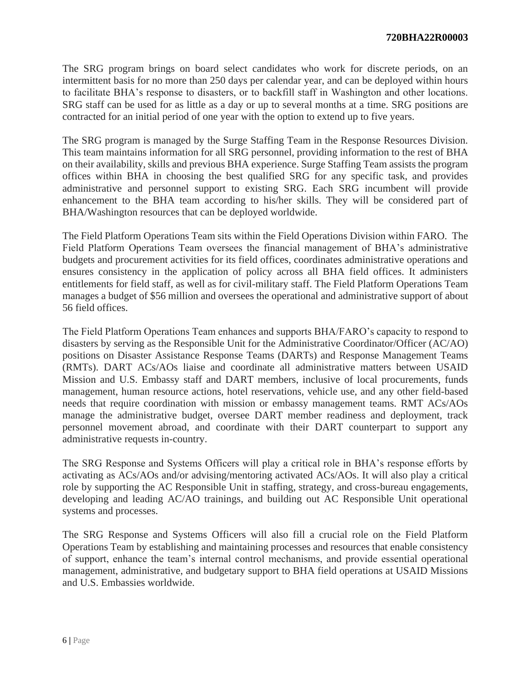The SRG program brings on board select candidates who work for discrete periods, on an intermittent basis for no more than 250 days per calendar year, and can be deployed within hours to facilitate BHA's response to disasters, or to backfill staff in Washington and other locations. SRG staff can be used for as little as a day or up to several months at a time. SRG positions are contracted for an initial period of one year with the option to extend up to five years.

The SRG program is managed by the Surge Staffing Team in the Response Resources Division. This team maintains information for all SRG personnel, providing information to the rest of BHA on their availability, skills and previous BHA experience. Surge Staffing Team assists the program offices within BHA in choosing the best qualified SRG for any specific task, and provides administrative and personnel support to existing SRG. Each SRG incumbent will provide enhancement to the BHA team according to his/her skills. They will be considered part of BHA/Washington resources that can be deployed worldwide.

The Field Platform Operations Team sits within the Field Operations Division within FARO. The Field Platform Operations Team oversees the financial management of BHA's administrative budgets and procurement activities for its field offices, coordinates administrative operations and ensures consistency in the application of policy across all BHA field offices. It administers entitlements for field staff, as well as for civil-military staff. The Field Platform Operations Team manages a budget of \$56 million and oversees the operational and administrative support of about 56 field offices.

The Field Platform Operations Team enhances and supports BHA/FARO's capacity to respond to disasters by serving as the Responsible Unit for the Administrative Coordinator/Officer (AC/AO) positions on Disaster Assistance Response Teams (DARTs) and Response Management Teams (RMTs). DART ACs/AOs liaise and coordinate all administrative matters between USAID Mission and U.S. Embassy staff and DART members, inclusive of local procurements, funds management, human resource actions, hotel reservations, vehicle use, and any other field-based needs that require coordination with mission or embassy management teams. RMT ACs/AOs manage the administrative budget, oversee DART member readiness and deployment, track personnel movement abroad, and coordinate with their DART counterpart to support any administrative requests in-country.

The SRG Response and Systems Officers will play a critical role in BHA's response efforts by activating as ACs/AOs and/or advising/mentoring activated ACs/AOs. It will also play a critical role by supporting the AC Responsible Unit in staffing, strategy, and cross-bureau engagements, developing and leading AC/AO trainings, and building out AC Responsible Unit operational systems and processes.

The SRG Response and Systems Officers will also fill a crucial role on the Field Platform Operations Team by establishing and maintaining processes and resources that enable consistency of support, enhance the team's internal control mechanisms, and provide essential operational management, administrative, and budgetary support to BHA field operations at USAID Missions and U.S. Embassies worldwide.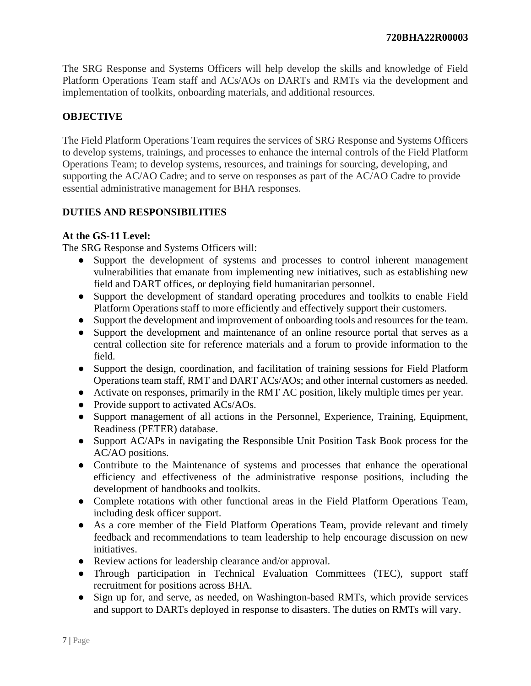The SRG Response and Systems Officers will help develop the skills and knowledge of Field Platform Operations Team staff and ACs/AOs on DARTs and RMTs via the development and implementation of toolkits, onboarding materials, and additional resources.

# **OBJECTIVE**

The Field Platform Operations Team requires the services of SRG Response and Systems Officers to develop systems, trainings, and processes to enhance the internal controls of the Field Platform Operations Team; to develop systems, resources, and trainings for sourcing, developing, and supporting the AC/AO Cadre; and to serve on responses as part of the AC/AO Cadre to provide essential administrative management for BHA responses.

# **DUTIES AND RESPONSIBILITIES**

### **At the GS-11 Level:**

The SRG Response and Systems Officers will:

- Support the development of systems and processes to control inherent management vulnerabilities that emanate from implementing new initiatives, such as establishing new field and DART offices, or deploying field humanitarian personnel.
- Support the development of standard operating procedures and toolkits to enable Field Platform Operations staff to more efficiently and effectively support their customers.
- Support the development and improvement of onboarding tools and resources for the team.
- Support the development and maintenance of an online resource portal that serves as a central collection site for reference materials and a forum to provide information to the field.
- Support the design, coordination, and facilitation of training sessions for Field Platform Operations team staff, RMT and DART ACs/AOs; and other internal customers as needed.
- Activate on responses, primarily in the RMT AC position, likely multiple times per year.
- Provide support to activated ACs/AOs.
- Support management of all actions in the Personnel, Experience, Training, Equipment, Readiness (PETER) database.
- Support AC/APs in navigating the Responsible Unit Position Task Book process for the AC/AO positions.
- Contribute to the Maintenance of systems and processes that enhance the operational efficiency and effectiveness of the administrative response positions, including the development of handbooks and toolkits.
- Complete rotations with other functional areas in the Field Platform Operations Team, including desk officer support.
- As a core member of the Field Platform Operations Team, provide relevant and timely feedback and recommendations to team leadership to help encourage discussion on new initiatives.
- Review actions for leadership clearance and/or approval.
- Through participation in Technical Evaluation Committees (TEC), support staff recruitment for positions across BHA.
- Sign up for, and serve, as needed, on Washington-based RMTs, which provide services and support to DARTs deployed in response to disasters. The duties on RMTs will vary.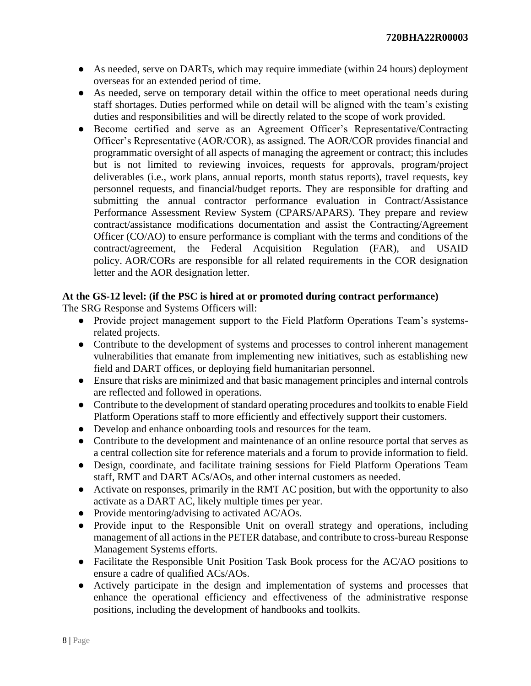- As needed, serve on DARTs, which may require immediate (within 24 hours) deployment overseas for an extended period of time.
- As needed, serve on temporary detail within the office to meet operational needs during staff shortages. Duties performed while on detail will be aligned with the team's existing duties and responsibilities and will be directly related to the scope of work provided.
- Become certified and serve as an Agreement Officer's Representative/Contracting Officer's Representative (AOR/COR), as assigned. The AOR/COR provides financial and programmatic oversight of all aspects of managing the agreement or contract; this includes but is not limited to reviewing invoices, requests for approvals, program/project deliverables (i.e., work plans, annual reports, month status reports), travel requests, key personnel requests, and financial/budget reports. They are responsible for drafting and submitting the annual contractor performance evaluation in Contract/Assistance Performance Assessment Review System (CPARS/APARS). They prepare and review contract/assistance modifications documentation and assist the Contracting/Agreement Officer (CO/AO) to ensure performance is compliant with the terms and conditions of the contract/agreement, the Federal Acquisition Regulation (FAR), and USAID policy. AOR/CORs are responsible for all related requirements in the COR designation letter and the AOR designation letter.

### **At the GS-12 level: (if the PSC is hired at or promoted during contract performance)**

The SRG Response and Systems Officers will:

- Provide project management support to the Field Platform Operations Team's systemsrelated projects.
- Contribute to the development of systems and processes to control inherent management vulnerabilities that emanate from implementing new initiatives, such as establishing new field and DART offices, or deploying field humanitarian personnel.
- Ensure that risks are minimized and that basic management principles and internal controls are reflected and followed in operations.
- Contribute to the development of standard operating procedures and toolkits to enable Field Platform Operations staff to more efficiently and effectively support their customers.
- Develop and enhance onboarding tools and resources for the team.
- Contribute to the development and maintenance of an online resource portal that serves as a central collection site for reference materials and a forum to provide information to field.
- Design, coordinate, and facilitate training sessions for Field Platform Operations Team staff, RMT and DART ACs/AOs, and other internal customers as needed.
- Activate on responses, primarily in the RMT AC position, but with the opportunity to also activate as a DART AC, likely multiple times per year.
- Provide mentoring/advising to activated AC/AOs.
- Provide input to the Responsible Unit on overall strategy and operations, including management of all actions in the PETER database, and contribute to cross-bureau Response Management Systems efforts.
- Facilitate the Responsible Unit Position Task Book process for the AC/AO positions to ensure a cadre of qualified ACs/AOs.
- Actively participate in the design and implementation of systems and processes that enhance the operational efficiency and effectiveness of the administrative response positions, including the development of handbooks and toolkits.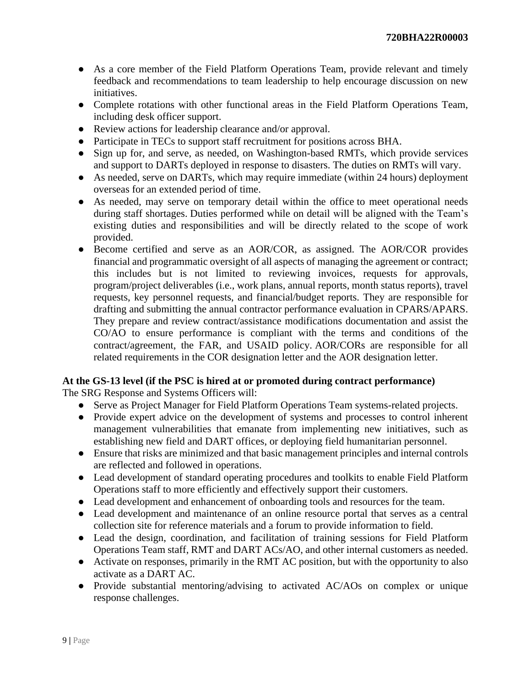- As a core member of the Field Platform Operations Team, provide relevant and timely feedback and recommendations to team leadership to help encourage discussion on new initiatives.
- Complete rotations with other functional areas in the Field Platform Operations Team, including desk officer support.
- Review actions for leadership clearance and/or approval.
- Participate in TECs to support staff recruitment for positions across BHA.
- Sign up for, and serve, as needed, on Washington-based RMTs, which provide services and support to DARTs deployed in response to disasters. The duties on RMTs will vary.
- As needed, serve on DARTs, which may require immediate (within 24 hours) deployment overseas for an extended period of time.
- As needed, may serve on temporary detail within the office to meet operational needs during staff shortages. Duties performed while on detail will be aligned with the Team's existing duties and responsibilities and will be directly related to the scope of work provided.
- Become certified and serve as an AOR/COR, as assigned. The AOR/COR provides financial and programmatic oversight of all aspects of managing the agreement or contract; this includes but is not limited to reviewing invoices, requests for approvals, program/project deliverables (i.e., work plans, annual reports, month status reports), travel requests, key personnel requests, and financial/budget reports. They are responsible for drafting and submitting the annual contractor performance evaluation in CPARS/APARS. They prepare and review contract/assistance modifications documentation and assist the CO/AO to ensure performance is compliant with the terms and conditions of the contract/agreement, the FAR, and USAID policy. AOR/CORs are responsible for all related requirements in the COR designation letter and the AOR designation letter.

### **At the GS-13 level (if the PSC is hired at or promoted during contract performance)**

The SRG Response and Systems Officers will:

- Serve as Project Manager for Field Platform Operations Team systems-related projects.
- Provide expert advice on the development of systems and processes to control inherent management vulnerabilities that emanate from implementing new initiatives, such as establishing new field and DART offices, or deploying field humanitarian personnel.
- Ensure that risks are minimized and that basic management principles and internal controls are reflected and followed in operations.
- Lead development of standard operating procedures and toolkits to enable Field Platform Operations staff to more efficiently and effectively support their customers.
- Lead development and enhancement of onboarding tools and resources for the team.
- Lead development and maintenance of an online resource portal that serves as a central collection site for reference materials and a forum to provide information to field.
- Lead the design, coordination, and facilitation of training sessions for Field Platform Operations Team staff, RMT and DART ACs/AO, and other internal customers as needed.
- Activate on responses, primarily in the RMT AC position, but with the opportunity to also activate as a DART AC.
- Provide substantial mentoring/advising to activated AC/AOs on complex or unique response challenges.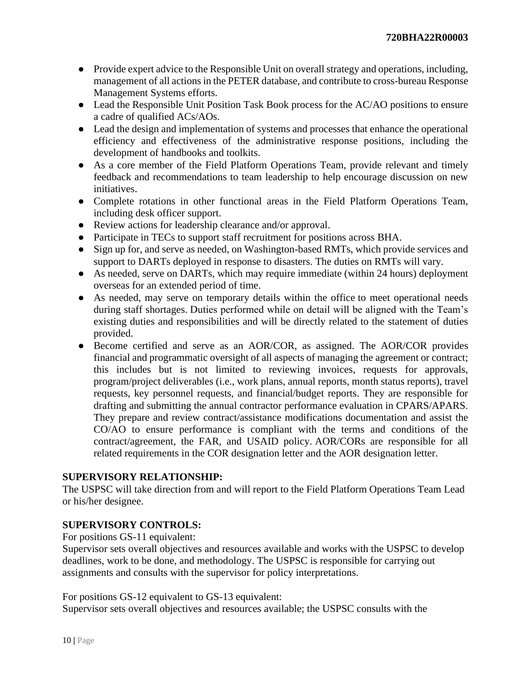- Provide expert advice to the Responsible Unit on overall strategy and operations, including, management of all actions in the PETER database, and contribute to cross-bureau Response Management Systems efforts.
- Lead the Responsible Unit Position Task Book process for the AC/AO positions to ensure a cadre of qualified ACs/AOs.
- Lead the design and implementation of systems and processes that enhance the operational efficiency and effectiveness of the administrative response positions, including the development of handbooks and toolkits.
- As a core member of the Field Platform Operations Team, provide relevant and timely feedback and recommendations to team leadership to help encourage discussion on new initiatives.
- Complete rotations in other functional areas in the Field Platform Operations Team, including desk officer support.
- Review actions for leadership clearance and/or approval.
- Participate in TECs to support staff recruitment for positions across BHA.
- Sign up for, and serve as needed, on Washington-based RMTs, which provide services and support to DARTs deployed in response to disasters. The duties on RMTs will vary.
- As needed, serve on DARTs, which may require immediate (within 24 hours) deployment overseas for an extended period of time.
- As needed, may serve on temporary details within the office to meet operational needs during staff shortages. Duties performed while on detail will be aligned with the Team's existing duties and responsibilities and will be directly related to the statement of duties provided.
- Become certified and serve as an AOR/COR, as assigned. The AOR/COR provides financial and programmatic oversight of all aspects of managing the agreement or contract; this includes but is not limited to reviewing invoices, requests for approvals, program/project deliverables (i.e., work plans, annual reports, month status reports), travel requests, key personnel requests, and financial/budget reports. They are responsible for drafting and submitting the annual contractor performance evaluation in CPARS/APARS. They prepare and review contract/assistance modifications documentation and assist the CO/AO to ensure performance is compliant with the terms and conditions of the contract/agreement, the FAR, and USAID policy. AOR/CORs are responsible for all related requirements in the COR designation letter and the AOR designation letter.

#### **SUPERVISORY RELATIONSHIP:**

The USPSC will take direction from and will report to the Field Platform Operations Team Lead or his/her designee.

#### **SUPERVISORY CONTROLS:**

For positions GS-11 equivalent:

Supervisor sets overall objectives and resources available and works with the USPSC to develop deadlines, work to be done, and methodology. The USPSC is responsible for carrying out assignments and consults with the supervisor for policy interpretations.

For positions GS-12 equivalent to GS-13 equivalent:

Supervisor sets overall objectives and resources available; the USPSC consults with the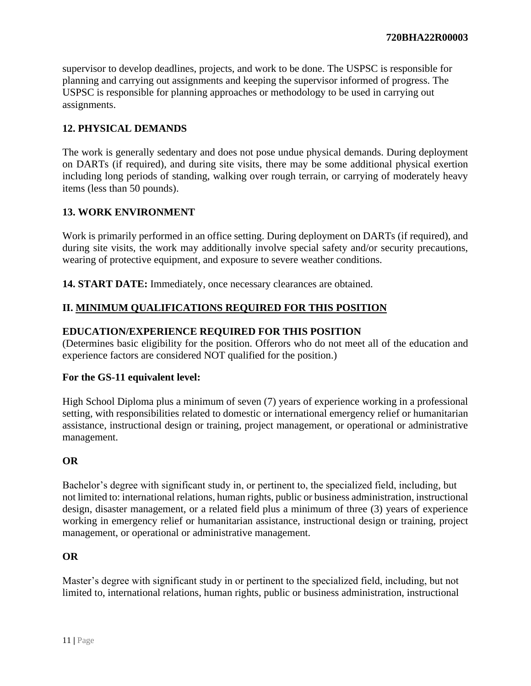supervisor to develop deadlines, projects, and work to be done. The USPSC is responsible for planning and carrying out assignments and keeping the supervisor informed of progress. The USPSC is responsible for planning approaches or methodology to be used in carrying out assignments.

## **12. PHYSICAL DEMANDS**

The work is generally sedentary and does not pose undue physical demands. During deployment on DARTs (if required), and during site visits, there may be some additional physical exertion including long periods of standing, walking over rough terrain, or carrying of moderately heavy items (less than 50 pounds).

### **13. WORK ENVIRONMENT**

Work is primarily performed in an office setting. During deployment on DARTs (if required), and during site visits, the work may additionally involve special safety and/or security precautions, wearing of protective equipment, and exposure to severe weather conditions.

**14. START DATE:** Immediately, once necessary clearances are obtained.

# **II. MINIMUM QUALIFICATIONS REQUIRED FOR THIS POSITION**

### **EDUCATION/EXPERIENCE REQUIRED FOR THIS POSITION**

(Determines basic eligibility for the position. Offerors who do not meet all of the education and experience factors are considered NOT qualified for the position.)

#### **For the GS-11 equivalent level:**

High School Diploma plus a minimum of seven (7) years of experience working in a professional setting, with responsibilities related to domestic or international emergency relief or humanitarian assistance, instructional design or training, project management, or operational or administrative management.

### **OR**

Bachelor's degree with significant study in, or pertinent to, the specialized field, including, but not limited to: international relations, human rights, public or business administration, instructional design, disaster management, or a related field plus a minimum of three (3) years of experience working in emergency relief or humanitarian assistance, instructional design or training, project management, or operational or administrative management.

#### **OR**

Master's degree with significant study in or pertinent to the specialized field, including, but not limited to, international relations, human rights, public or business administration, instructional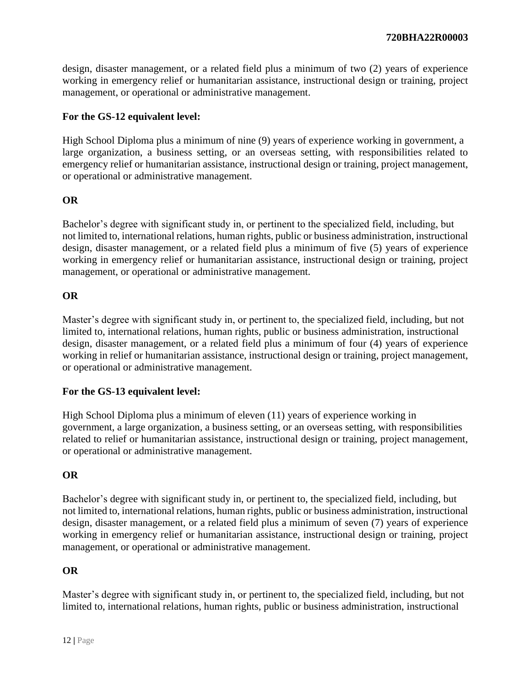design, disaster management, or a related field plus a minimum of two (2) years of experience working in emergency relief or humanitarian assistance, instructional design or training, project management, or operational or administrative management.

### **For the GS-12 equivalent level:**

High School Diploma plus a minimum of nine (9) years of experience working in government, a large organization, a business setting, or an overseas setting, with responsibilities related to emergency relief or humanitarian assistance, instructional design or training, project management, or operational or administrative management.

# **OR**

Bachelor's degree with significant study in, or pertinent to the specialized field, including, but not limited to, international relations, human rights, public or business administration, instructional design, disaster management, or a related field plus a minimum of five (5) years of experience working in emergency relief or humanitarian assistance, instructional design or training, project management, or operational or administrative management.

### **OR**

Master's degree with significant study in, or pertinent to, the specialized field, including, but not limited to, international relations, human rights, public or business administration, instructional design, disaster management, or a related field plus a minimum of four (4) years of experience working in relief or humanitarian assistance, instructional design or training, project management, or operational or administrative management.

### **For the GS-13 equivalent level:**

High School Diploma plus a minimum of eleven (11) years of experience working in government, a large organization, a business setting, or an overseas setting, with responsibilities related to relief or humanitarian assistance, instructional design or training, project management, or operational or administrative management.

# **OR**

Bachelor's degree with significant study in, or pertinent to, the specialized field, including, but not limited to, international relations, human rights, public or business administration, instructional design, disaster management, or a related field plus a minimum of seven (7) years of experience working in emergency relief or humanitarian assistance, instructional design or training, project management, or operational or administrative management.

### **OR**

Master's degree with significant study in, or pertinent to, the specialized field, including, but not limited to, international relations, human rights, public or business administration, instructional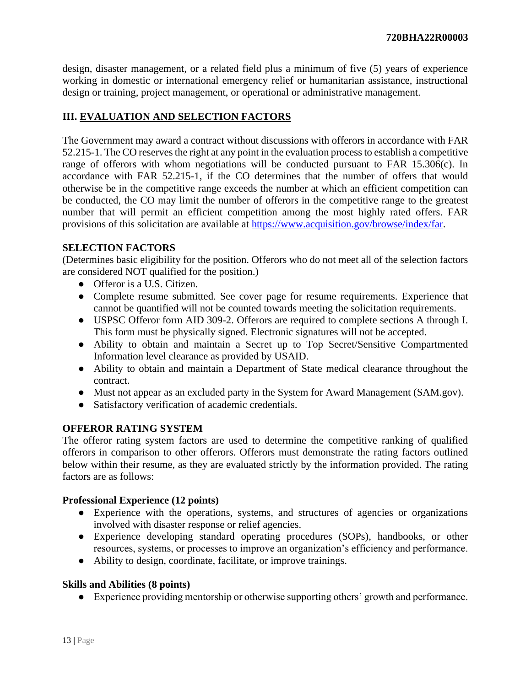design, disaster management, or a related field plus a minimum of five (5) years of experience working in domestic or international emergency relief or humanitarian assistance, instructional design or training, project management, or operational or administrative management.

### **III. EVALUATION AND SELECTION FACTORS**

The Government may award a contract without discussions with offerors in accordance with FAR 52.215-1. The CO reserves the right at any point in the evaluation process to establish a competitive range of offerors with whom negotiations will be conducted pursuant to FAR 15.306(c). In accordance with FAR 52.215-1, if the CO determines that the number of offers that would otherwise be in the competitive range exceeds the number at which an efficient competition can be conducted, the CO may limit the number of offerors in the competitive range to the greatest number that will permit an efficient competition among the most highly rated offers. FAR provisions of this solicitation are available at [https://www.acquisition.gov/browse/index/far.](https://www.acquisition.gov/browse/index/far)

#### **SELECTION FACTORS**

(Determines basic eligibility for the position. Offerors who do not meet all of the selection factors are considered NOT qualified for the position.)

- Offeror is a U.S. Citizen.
- Complete resume submitted. See cover page for resume requirements. Experience that cannot be quantified will not be counted towards meeting the solicitation requirements.
- USPSC Offeror form AID 309-2. Offerors are required to complete sections A through I. This form must be physically signed. Electronic signatures will not be accepted.
- Ability to obtain and maintain a Secret up to Top Secret/Sensitive Compartmented Information level clearance as provided by USAID.
- Ability to obtain and maintain a Department of State medical clearance throughout the contract.
- Must not appear as an excluded party in the System for Award Management (SAM.gov).
- Satisfactory verification of academic credentials.

#### **OFFEROR RATING SYSTEM**

The offeror rating system factors are used to determine the competitive ranking of qualified offerors in comparison to other offerors. Offerors must demonstrate the rating factors outlined below within their resume, as they are evaluated strictly by the information provided. The rating factors are as follows:

#### **Professional Experience (12 points)**

- Experience with the operations, systems, and structures of agencies or organizations involved with disaster response or relief agencies.
- Experience developing standard operating procedures (SOPs), handbooks, or other resources, systems, or processes to improve an organization's efficiency and performance.
- Ability to design, coordinate, facilitate, or improve trainings.

#### **Skills and Abilities (8 points)**

● Experience providing mentorship or otherwise supporting others' growth and performance.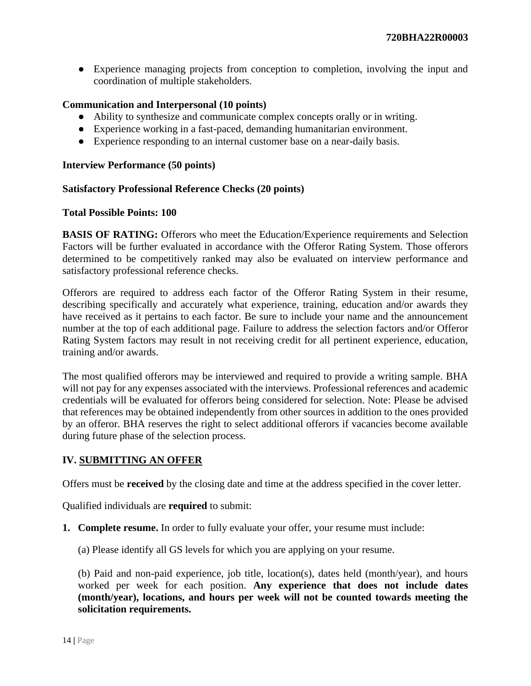● Experience managing projects from conception to completion, involving the input and coordination of multiple stakeholders.

#### **Communication and Interpersonal (10 points)**

- Ability to synthesize and communicate complex concepts orally or in writing.
- Experience working in a fast-paced, demanding humanitarian environment.
- Experience responding to an internal customer base on a near-daily basis.

#### **Interview Performance (50 points)**

#### **Satisfactory Professional Reference Checks (20 points)**

#### **Total Possible Points: 100**

**BASIS OF RATING:** Offerors who meet the Education/Experience requirements and Selection Factors will be further evaluated in accordance with the Offeror Rating System. Those offerors determined to be competitively ranked may also be evaluated on interview performance and satisfactory professional reference checks.

Offerors are required to address each factor of the Offeror Rating System in their resume, describing specifically and accurately what experience, training, education and/or awards they have received as it pertains to each factor. Be sure to include your name and the announcement number at the top of each additional page. Failure to address the selection factors and/or Offeror Rating System factors may result in not receiving credit for all pertinent experience, education, training and/or awards.

The most qualified offerors may be interviewed and required to provide a writing sample. BHA will not pay for any expenses associated with the interviews. Professional references and academic credentials will be evaluated for offerors being considered for selection. Note: Please be advised that references may be obtained independently from other sources in addition to the ones provided by an offeror. BHA reserves the right to select additional offerors if vacancies become available during future phase of the selection process.

#### **IV. SUBMITTING AN OFFER**

Offers must be **received** by the closing date and time at the address specified in the cover letter.

Qualified individuals are **required** to submit:

- **1. Complete resume.** In order to fully evaluate your offer, your resume must include:
	- (a) Please identify all GS levels for which you are applying on your resume.

(b) Paid and non-paid experience, job title, location(s), dates held (month/year), and hours worked per week for each position. **Any experience that does not include dates (month/year), locations, and hours per week will not be counted towards meeting the solicitation requirements.**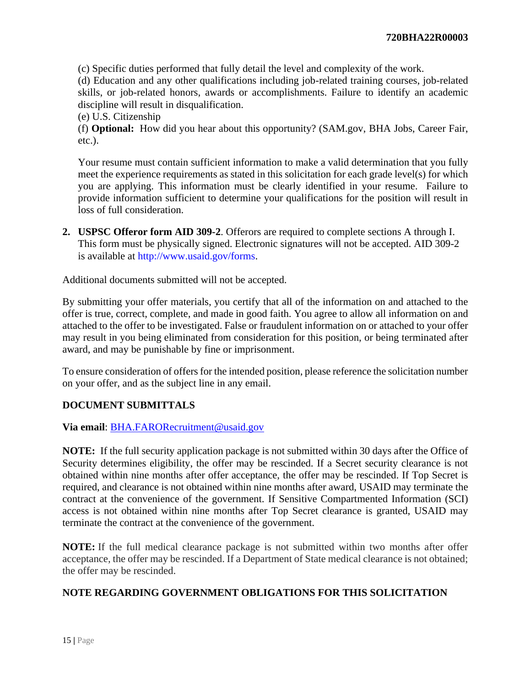(c) Specific duties performed that fully detail the level and complexity of the work.

(d) Education and any other qualifications including job-related training courses, job-related skills, or job-related honors, awards or accomplishments. Failure to identify an academic discipline will result in disqualification.

(e) U.S. Citizenship

(f) **Optional:** How did you hear about this opportunity? (SAM.gov, BHA Jobs, Career Fair, etc.).

Your resume must contain sufficient information to make a valid determination that you fully meet the experience requirements as stated in this solicitation for each grade level(s) for which you are applying. This information must be clearly identified in your resume. Failure to provide information sufficient to determine your qualifications for the position will result in loss of full consideration.

**2. USPSC Offeror form AID 309-2**. Offerors are required to complete sections A through I. This form must be physically signed. Electronic signatures will not be accepted. AID 309-2 is available at http://www.usaid.gov/forms.

Additional documents submitted will not be accepted.

By submitting your offer materials, you certify that all of the information on and attached to the offer is true, correct, complete, and made in good faith. You agree to allow all information on and attached to the offer to be investigated. False or fraudulent information on or attached to your offer may result in you being eliminated from consideration for this position, or being terminated after award, and may be punishable by fine or imprisonment.

To ensure consideration of offers for the intended position, please reference the solicitation number on your offer, and as the subject line in any email.

### **DOCUMENT SUBMITTALS**

**Via email**: [BHA.FARORecruitment@usaid.gov](mailto:BHA.FARORecruitment@usaid.gov)

**NOTE:** If the full security application package is not submitted within 30 days after the Office of Security determines eligibility, the offer may be rescinded. If a Secret security clearance is not obtained within nine months after offer acceptance, the offer may be rescinded. If Top Secret is required, and clearance is not obtained within nine months after award, USAID may terminate the contract at the convenience of the government. If Sensitive Compartmented Information (SCI) access is not obtained within nine months after Top Secret clearance is granted, USAID may terminate the contract at the convenience of the government.

**NOTE:** If the full medical clearance package is not submitted within two months after offer acceptance, the offer may be rescinded. If a Department of State medical clearance is not obtained; the offer may be rescinded.

#### **NOTE REGARDING GOVERNMENT OBLIGATIONS FOR THIS SOLICITATION**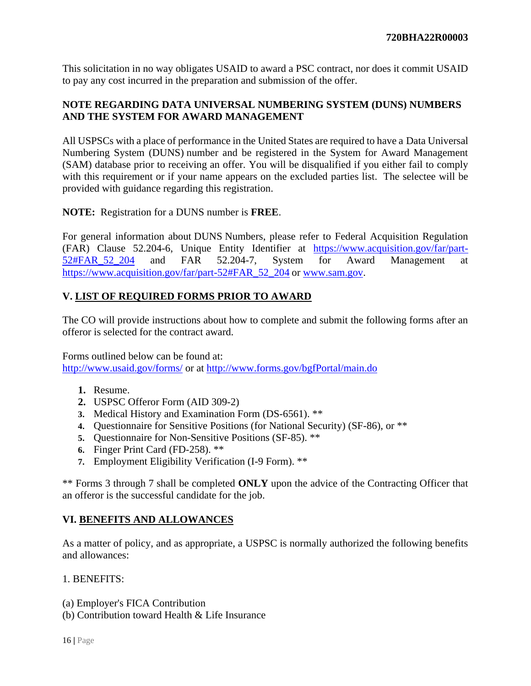This solicitation in no way obligates USAID to award a PSC contract, nor does it commit USAID to pay any cost incurred in the preparation and submission of the offer.

### **NOTE REGARDING DATA UNIVERSAL NUMBERING SYSTEM (DUNS) NUMBERS AND THE SYSTEM FOR AWARD MANAGEMENT**

All USPSCs with a place of performance in the United States are required to have a Data Universal Numbering System (DUNS) number and be registered in the System for Award Management (SAM) database prior to receiving an offer. You will be disqualified if you either fail to comply with this requirement or if your name appears on the excluded parties list. The selectee will be provided with guidance regarding this registration.

**NOTE:** Registration for a DUNS number is **FREE**.

For general information about DUNS Numbers, please refer to Federal Acquisition Regulation (FAR) Clause 52.204-6, Unique Entity Identifier at [https://www.acquisition.gov/far/part-](https://www.acquisition.gov/far/part-52#FAR_52_204)[52#FAR\\_52\\_204](https://www.acquisition.gov/far/part-52#FAR_52_204) and FAR 52.204-7, System for Award Management at [https://www.acquisition.gov/far/part-52#FAR\\_52\\_204](https://www.acquisition.gov/far/part-52#FAR_52_204) or [www.sam.gov.](http://www.sam.gov/)

# **V. LIST OF REQUIRED FORMS PRIOR TO AWARD**

The CO will provide instructions about how to complete and submit the following forms after an offeror is selected for the contract award.

Forms outlined below can be found at: <http://www.usaid.gov/forms/> or at<http://www.forms.gov/bgfPortal/main.do>

- **1.** Resume.
- **2.** USPSC Offeror Form (AID 309-2)
- **3.** Medical History and Examination Form (DS-6561). \*\*
- **4.** Questionnaire for Sensitive Positions (for National Security) (SF-86), or \*\*
- **5.** Questionnaire for Non-Sensitive Positions (SF-85). \*\*
- **6.** Finger Print Card (FD-258). \*\*
- **7.** Employment Eligibility Verification (I-9 Form). \*\*

\*\* Forms 3 through 7 shall be completed **ONLY** upon the advice of the Contracting Officer that an offeror is the successful candidate for the job.

### **VI. BENEFITS AND ALLOWANCES**

As a matter of policy, and as appropriate, a USPSC is normally authorized the following benefits and allowances:

#### 1. BENEFITS:

- (a) Employer's FICA Contribution
- (b) Contribution toward Health & Life Insurance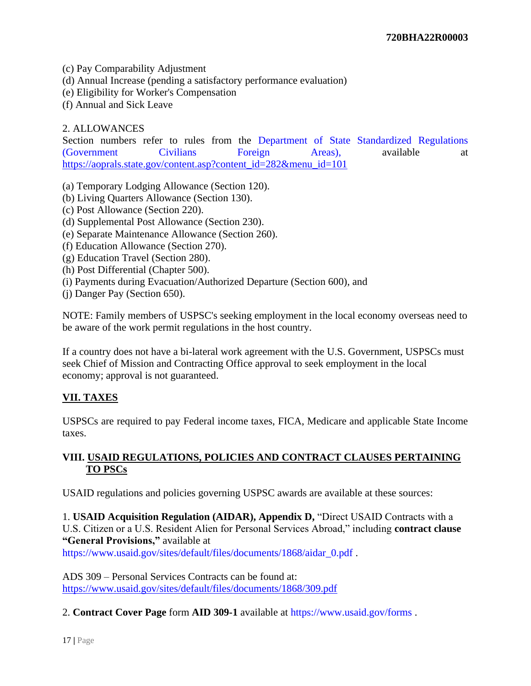(c) Pay Comparability Adjustment

- (d) Annual Increase (pending a satisfactory performance evaluation)
- (e) Eligibility for Worker's Compensation
- (f) Annual and Sick Leave

2. ALLOWANCES

Section numbers refer to rules from the Department of State Standardized Regulations (Government Civilians Foreign Areas), available at [https://aoprals.state.gov/content.asp?content\\_id=282&menu\\_id=101](https://aoprals.state.gov/content.asp?content_id=282&menu_id=101)

- (a) Temporary Lodging Allowance (Section 120).
- (b) Living Quarters Allowance (Section 130).
- (c) Post Allowance (Section 220).
- (d) Supplemental Post Allowance (Section 230).
- (e) Separate Maintenance Allowance (Section 260).
- (f) Education Allowance (Section 270).
- (g) Education Travel (Section 280).
- (h) Post Differential (Chapter 500).
- (i) Payments during Evacuation/Authorized Departure (Section 600), and
- (j) Danger Pay (Section 650).

NOTE: Family members of USPSC's seeking employment in the local economy overseas need to be aware of the work permit regulations in the host country.

If a country does not have a bi-lateral work agreement with the U.S. Government, USPSCs must seek Chief of Mission and Contracting Office approval to seek employment in the local economy; approval is not guaranteed.

### **VII. TAXES**

USPSCs are required to pay Federal income taxes, FICA, Medicare and applicable State Income taxes.

### **VIII. USAID REGULATIONS, POLICIES AND CONTRACT CLAUSES PERTAINING TO PSCs**

USAID regulations and policies governing USPSC awards are available at these sources:

1. **USAID Acquisition Regulation (AIDAR), Appendix D,** "Direct USAID Contracts with a U.S. Citizen or a U.S. Resident Alien for Personal Services Abroad," including **contract clause "General Provisions,"** available at https://www.usaid.gov/sites/default/files/documents/1868/aidar\_0.pdf .

ADS 309 – Personal Services Contracts can be found at: <https://www.usaid.gov/sites/default/files/documents/1868/309.pdf>

2. **Contract Cover Page** form **AID 309-1** available at https://www.usaid.gov/forms .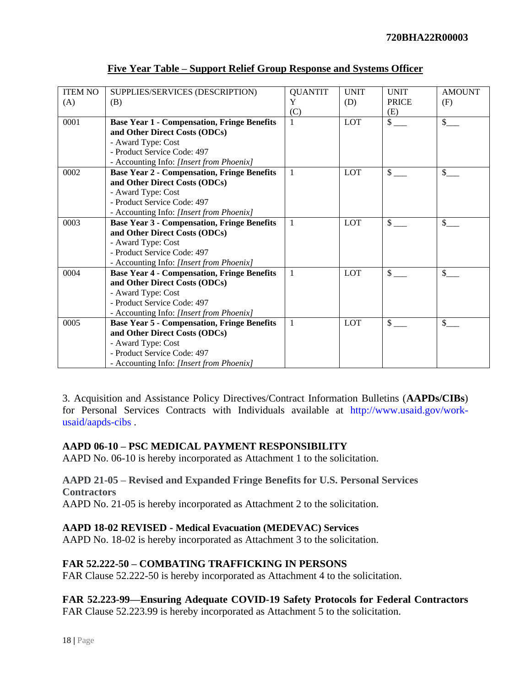| <b>ITEM NO</b> | SUPPLIES/SERVICES (DESCRIPTION)                    | <b>QUANTIT</b> | <b>UNIT</b> | <b>UNIT</b>   | <b>AMOUNT</b> |
|----------------|----------------------------------------------------|----------------|-------------|---------------|---------------|
| (A)            | (B)                                                | Y              | (D)         | <b>PRICE</b>  | (F)           |
|                |                                                    | (C)            |             | (E)           |               |
| 0001           | <b>Base Year 1 - Compensation, Fringe Benefits</b> | 1              | LOT         | $\frac{1}{2}$ | \$            |
|                | and Other Direct Costs (ODCs)                      |                |             |               |               |
|                | - Award Type: Cost                                 |                |             |               |               |
|                | - Product Service Code: 497                        |                |             |               |               |
|                | - Accounting Info: [Insert from Phoenix]           |                |             |               |               |
| 0002           | <b>Base Year 2 - Compensation, Fringe Benefits</b> | 1              | LOT         | $\mathcal{S}$ | $\mathbb{S}$  |
|                | and Other Direct Costs (ODCs)                      |                |             |               |               |
|                | - Award Type: Cost                                 |                |             |               |               |
|                | - Product Service Code: 497                        |                |             |               |               |
|                | - Accounting Info: [Insert from Phoenix]           |                |             |               |               |
| 0003           | <b>Base Year 3 - Compensation, Fringe Benefits</b> | 1              | LOT         | $\frac{1}{2}$ | \$            |
|                | and Other Direct Costs (ODCs)                      |                |             |               |               |
|                | - Award Type: Cost                                 |                |             |               |               |
|                | - Product Service Code: 497                        |                |             |               |               |
|                | - Accounting Info: [Insert from Phoenix]           |                |             |               |               |
| 0004           | <b>Base Year 4 - Compensation, Fringe Benefits</b> | 1              | LOT         | $\frac{1}{2}$ | <sup>\$</sup> |
|                | and Other Direct Costs (ODCs)                      |                |             |               |               |
|                | - Award Type: Cost                                 |                |             |               |               |
|                | - Product Service Code: 497                        |                |             |               |               |
|                | - Accounting Info: [Insert from Phoenix]           |                |             |               |               |
| 0005           | <b>Base Year 5 - Compensation, Fringe Benefits</b> | 1              | LOT         | \$            | $\mathbb{S}$  |
|                | and Other Direct Costs (ODCs)                      |                |             |               |               |
|                | - Award Type: Cost                                 |                |             |               |               |
|                | - Product Service Code: 497                        |                |             |               |               |
|                | - Accounting Info: [Insert from Phoenix]           |                |             |               |               |

### **Five Year Table – Support Relief Group Response and Systems Officer**

3. Acquisition and Assistance Policy Directives/Contract Information Bulletins (**AAPDs/CIBs**) for Personal Services Contracts with Individuals available at http://www.usaid.gov/workusaid/aapds-cibs .

### **AAPD 06-10 – PSC MEDICAL PAYMENT RESPONSIBILITY**

AAPD No. 06-10 is hereby incorporated as Attachment 1 to the solicitation.

# **AAPD 21-05 – Revised and Expanded Fringe Benefits for U.S. Personal Services Contractors**

AAPD No. 21-05 is hereby incorporated as Attachment 2 to the solicitation.

### **AAPD 18-02 REVISED - Medical Evacuation (MEDEVAC) Services**

AAPD No. 18-02 is hereby incorporated as Attachment 3 to the solicitation.

### **FAR 52.222-50 – COMBATING TRAFFICKING IN PERSONS**

FAR Clause 52.222-50 is hereby incorporated as Attachment 4 to the solicitation.

# **FAR 52.223-99—Ensuring Adequate COVID-19 Safety Protocols for Federal Contractors**

FAR Clause 52.223.99 is hereby incorporated as Attachment 5 to the solicitation.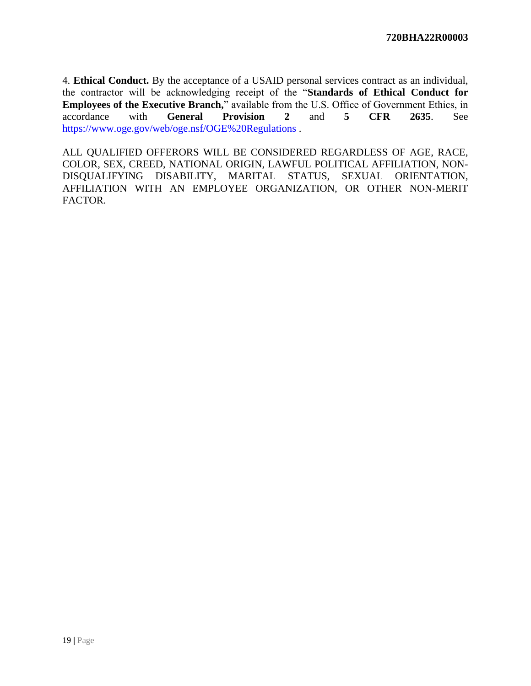4. **Ethical Conduct.** By the acceptance of a USAID personal services contract as an individual, the contractor will be acknowledging receipt of the "**Standards of Ethical Conduct for Employees of the Executive Branch,**" available from the U.S. Office of Government Ethics, in accordance with **General Provision 2** and **5 CFR 2635**. See https://www.oge.gov/web/oge.nsf/OGE%20Regulations .

ALL QUALIFIED OFFERORS WILL BE CONSIDERED REGARDLESS OF AGE, RACE, COLOR, SEX, CREED, NATIONAL ORIGIN, LAWFUL POLITICAL AFFILIATION, NON-DISQUALIFYING DISABILITY, MARITAL STATUS, SEXUAL ORIENTATION, AFFILIATION WITH AN EMPLOYEE ORGANIZATION, OR OTHER NON-MERIT FACTOR.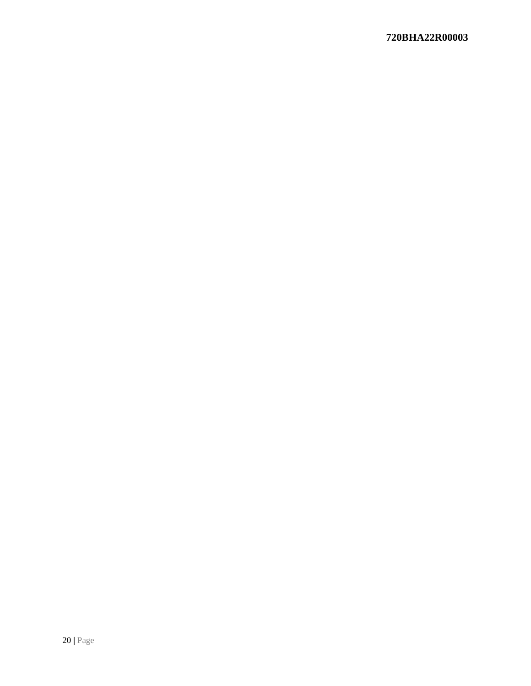### **720BHA22R00003**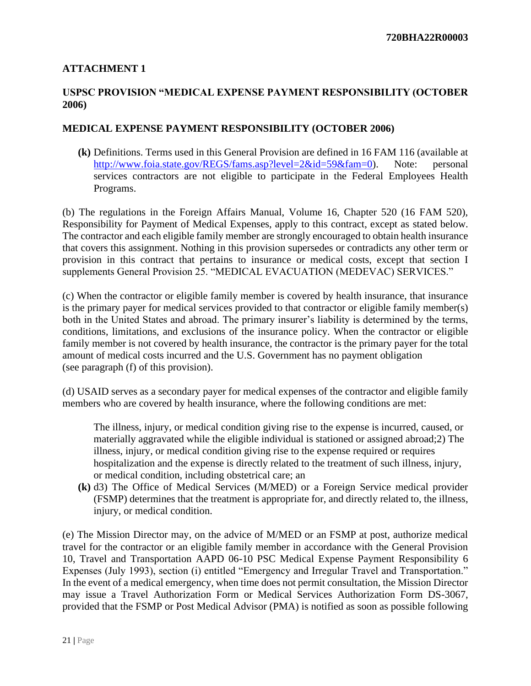### **ATTACHMENT 1**

#### **USPSC PROVISION "MEDICAL EXPENSE PAYMENT RESPONSIBILITY (OCTOBER 2006)**

#### **MEDICAL EXPENSE PAYMENT RESPONSIBILITY (OCTOBER 2006)**

**(k)** Definitions. Terms used in this General Provision are defined in 16 FAM 116 (available at [http://www.foia.state.gov/REGS/fams.asp?level=2&id=59&fam=0\)](http://www.foia.state.gov/REGS/fams.asp?level=2&id=59&fam=0). Note: personal services contractors are not eligible to participate in the Federal Employees Health Programs.

(b) The regulations in the Foreign Affairs Manual, Volume 16, Chapter 520 (16 FAM 520), Responsibility for Payment of Medical Expenses, apply to this contract, except as stated below. The contractor and each eligible family member are strongly encouraged to obtain health insurance that covers this assignment. Nothing in this provision supersedes or contradicts any other term or provision in this contract that pertains to insurance or medical costs, except that section I supplements General Provision 25. "MEDICAL EVACUATION (MEDEVAC) SERVICES."

(c) When the contractor or eligible family member is covered by health insurance, that insurance is the primary payer for medical services provided to that contractor or eligible family member(s) both in the United States and abroad. The primary insurer's liability is determined by the terms, conditions, limitations, and exclusions of the insurance policy. When the contractor or eligible family member is not covered by health insurance, the contractor is the primary payer for the total amount of medical costs incurred and the U.S. Government has no payment obligation (see paragraph (f) of this provision).

(d) USAID serves as a secondary payer for medical expenses of the contractor and eligible family members who are covered by health insurance, where the following conditions are met:

The illness, injury, or medical condition giving rise to the expense is incurred, caused, or materially aggravated while the eligible individual is stationed or assigned abroad;2) The illness, injury, or medical condition giving rise to the expense required or requires hospitalization and the expense is directly related to the treatment of such illness, injury, or medical condition, including obstetrical care; an

**(k)** d3) The Office of Medical Services (M/MED) or a Foreign Service medical provider (FSMP) determines that the treatment is appropriate for, and directly related to, the illness, injury, or medical condition.

(e) The Mission Director may, on the advice of M/MED or an FSMP at post, authorize medical travel for the contractor or an eligible family member in accordance with the General Provision 10, Travel and Transportation AAPD 06-10 PSC Medical Expense Payment Responsibility 6 Expenses (July 1993), section (i) entitled "Emergency and Irregular Travel and Transportation." In the event of a medical emergency, when time does not permit consultation, the Mission Director may issue a Travel Authorization Form or Medical Services Authorization Form DS-3067, provided that the FSMP or Post Medical Advisor (PMA) is notified as soon as possible following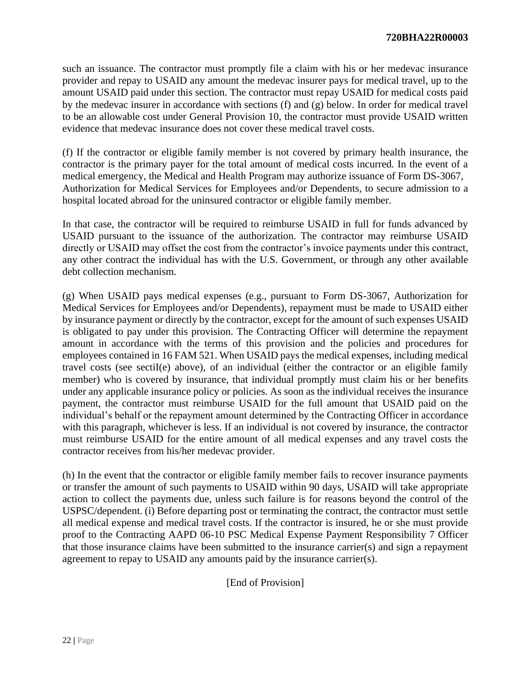such an issuance. The contractor must promptly file a claim with his or her medevac insurance provider and repay to USAID any amount the medevac insurer pays for medical travel, up to the amount USAID paid under this section. The contractor must repay USAID for medical costs paid by the medevac insurer in accordance with sections (f) and (g) below. In order for medical travel to be an allowable cost under General Provision 10, the contractor must provide USAID written evidence that medevac insurance does not cover these medical travel costs.

(f) If the contractor or eligible family member is not covered by primary health insurance, the contractor is the primary payer for the total amount of medical costs incurred. In the event of a medical emergency, the Medical and Health Program may authorize issuance of Form DS-3067, Authorization for Medical Services for Employees and/or Dependents, to secure admission to a hospital located abroad for the uninsured contractor or eligible family member.

In that case, the contractor will be required to reimburse USAID in full for funds advanced by USAID pursuant to the issuance of the authorization. The contractor may reimburse USAID directly or USAID may offset the cost from the contractor's invoice payments under this contract, any other contract the individual has with the U.S. Government, or through any other available debt collection mechanism.

(g) When USAID pays medical expenses (e.g., pursuant to Form DS-3067, Authorization for Medical Services for Employees and/or Dependents), repayment must be made to USAID either by insurance payment or directly by the contractor, except for the amount of such expenses USAID is obligated to pay under this provision. The Contracting Officer will determine the repayment amount in accordance with the terms of this provision and the policies and procedures for employees contained in 16 FAM 521. When USAID pays the medical expenses, including medical travel costs (see sectiI(e) above), of an individual (either the contractor or an eligible family member) who is covered by insurance, that individual promptly must claim his or her benefits under any applicable insurance policy or policies. As soon as the individual receives the insurance payment, the contractor must reimburse USAID for the full amount that USAID paid on the individual's behalf or the repayment amount determined by the Contracting Officer in accordance with this paragraph, whichever is less. If an individual is not covered by insurance, the contractor must reimburse USAID for the entire amount of all medical expenses and any travel costs the contractor receives from his/her medevac provider.

(h) In the event that the contractor or eligible family member fails to recover insurance payments or transfer the amount of such payments to USAID within 90 days, USAID will take appropriate action to collect the payments due, unless such failure is for reasons beyond the control of the USPSC/dependent. (i) Before departing post or terminating the contract, the contractor must settle all medical expense and medical travel costs. If the contractor is insured, he or she must provide proof to the Contracting AAPD 06-10 PSC Medical Expense Payment Responsibility 7 Officer that those insurance claims have been submitted to the insurance carrier(s) and sign a repayment agreement to repay to USAID any amounts paid by the insurance carrier(s).

[End of Provision]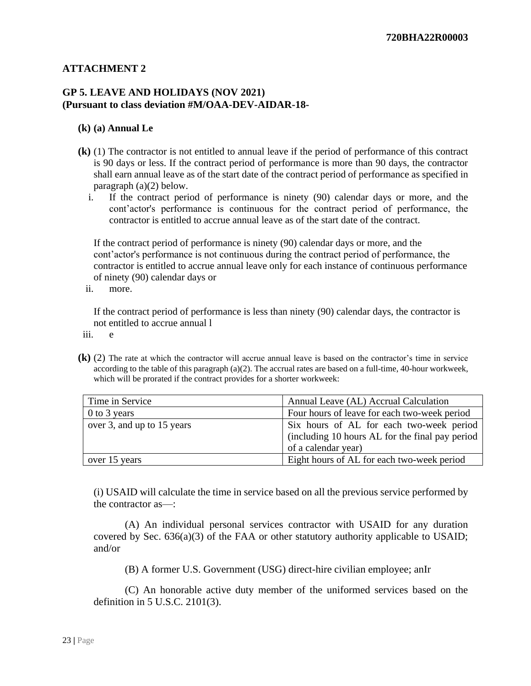### **ATTACHMENT 2**

#### **GP 5. LEAVE AND HOLIDAYS (NOV 2021) (Pursuant to class deviation #M/OAA-DEV-AIDAR-18-**

#### **(k) (a) Annual Le**

- **(k)** (1) The contractor is not entitled to annual leave if the period of performance of this contract is 90 days or less. If the contract period of performance is more than 90 days, the contractor shall earn annual leave as of the start date of the contract period of performance as specified in paragraph (a)(2) below.
	- i. If the contract period of performance is ninety (90) calendar days or more, and the cont'actor's performance is continuous for the contract period of performance, the contractor is entitled to accrue annual leave as of the start date of the contract.

If the contract period of performance is ninety (90) calendar days or more, and the cont'actor's performance is not continuous during the contract period of performance, the contractor is entitled to accrue annual leave only for each instance of continuous performance of ninety (90) calendar days or

ii. more.

If the contract period of performance is less than ninety (90) calendar days, the contractor is not entitled to accrue annual l

iii. e

**(k)** (2) The rate at which the contractor will accrue annual leave is based on the contractor's time in service according to the table of this paragraph (a)(2). The accrual rates are based on a full-time, 40-hour workweek, which will be prorated if the contract provides for a shorter workweek:

| Time in Service            | Annual Leave (AL) Accrual Calculation                                                                              |
|----------------------------|--------------------------------------------------------------------------------------------------------------------|
| $0$ to 3 years             | Four hours of leave for each two-week period                                                                       |
| over 3, and up to 15 years | Six hours of AL for each two-week period<br>(including 10 hours AL for the final pay period<br>of a calendar year) |
| over 15 years              | Eight hours of AL for each two-week period                                                                         |

(i) USAID will calculate the time in service based on all the previous service performed by the contractor as—:

(A) An individual personal services contractor with USAID for any duration covered by Sec.  $636(a)(3)$  of the FAA or other statutory authority applicable to USAID; and/or

(B) A former U.S. Government (USG) direct-hire civilian employee; anIr

(C) An honorable active duty member of the uniformed services based on the definition in 5 U.S.C. 2101(3).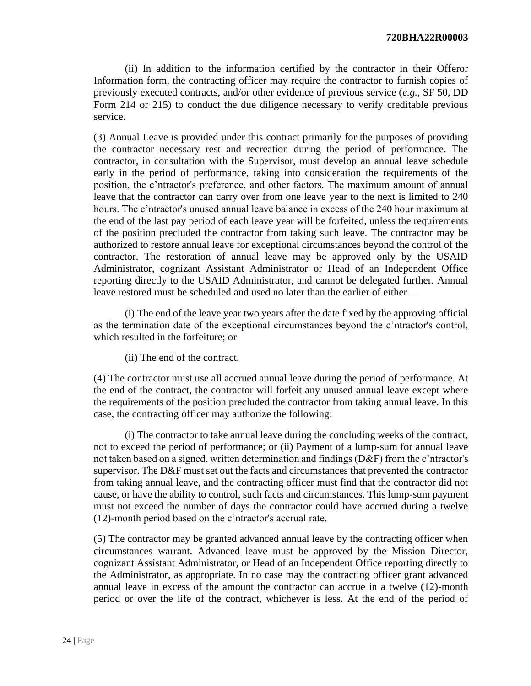(ii) In addition to the information certified by the contractor in their Offeror Information form, the contracting officer may require the contractor to furnish copies of previously executed contracts, and/or other evidence of previous service (*e.g.,* SF 50, DD Form 214 or 215) to conduct the due diligence necessary to verify creditable previous service.

(3) Annual Leave is provided under this contract primarily for the purposes of providing the contractor necessary rest and recreation during the period of performance. The contractor, in consultation with the Supervisor, must develop an annual leave schedule early in the period of performance, taking into consideration the requirements of the position, the c'ntractor's preference, and other factors. The maximum amount of annual leave that the contractor can carry over from one leave year to the next is limited to 240 hours. The c'ntractor's unused annual leave balance in excess of the 240 hour maximum at the end of the last pay period of each leave year will be forfeited, unless the requirements of the position precluded the contractor from taking such leave. The contractor may be authorized to restore annual leave for exceptional circumstances beyond the control of the contractor. The restoration of annual leave may be approved only by the USAID Administrator, cognizant Assistant Administrator or Head of an Independent Office reporting directly to the USAID Administrator, and cannot be delegated further. Annual leave restored must be scheduled and used no later than the earlier of either—

(i) The end of the leave year two years after the date fixed by the approving official as the termination date of the exceptional circumstances beyond the c'ntractor's control, which resulted in the forfeiture; or

(ii) The end of the contract.

(4) The contractor must use all accrued annual leave during the period of performance. At the end of the contract, the contractor will forfeit any unused annual leave except where the requirements of the position precluded the contractor from taking annual leave. In this case, the contracting officer may authorize the following:

(i) The contractor to take annual leave during the concluding weeks of the contract, not to exceed the period of performance; or (ii) Payment of a lump-sum for annual leave not taken based on a signed, written determination and findings (D&F) from the c'ntractor's supervisor. The D&F must set out the facts and circumstances that prevented the contractor from taking annual leave, and the contracting officer must find that the contractor did not cause, or have the ability to control, such facts and circumstances. This lump-sum payment must not exceed the number of days the contractor could have accrued during a twelve (12)-month period based on the c'ntractor's accrual rate.

(5) The contractor may be granted advanced annual leave by the contracting officer when circumstances warrant. Advanced leave must be approved by the Mission Director, cognizant Assistant Administrator, or Head of an Independent Office reporting directly to the Administrator, as appropriate. In no case may the contracting officer grant advanced annual leave in excess of the amount the contractor can accrue in a twelve (12)-month period or over the life of the contract, whichever is less. At the end of the period of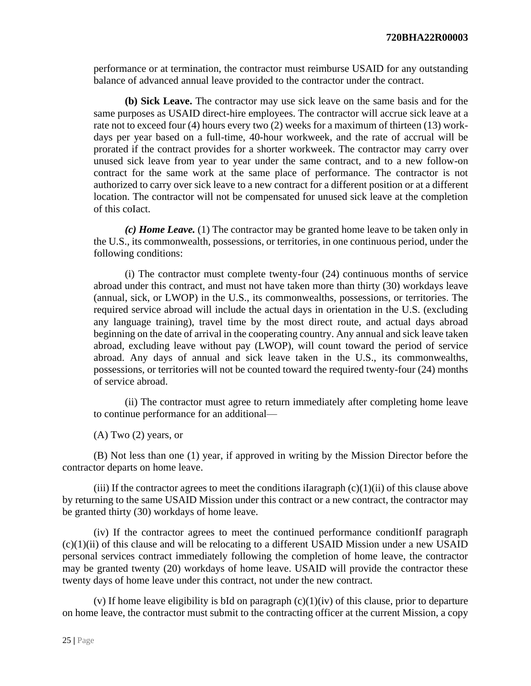performance or at termination, the contractor must reimburse USAID for any outstanding balance of advanced annual leave provided to the contractor under the contract.

**(b) Sick Leave.** The contractor may use sick leave on the same basis and for the same purposes as USAID direct-hire employees. The contractor will accrue sick leave at a rate not to exceed four (4) hours every two (2) weeks for a maximum of thirteen (13) workdays per year based on a full-time, 40-hour workweek, and the rate of accrual will be prorated if the contract provides for a shorter workweek. The contractor may carry over unused sick leave from year to year under the same contract, and to a new follow-on contract for the same work at the same place of performance. The contractor is not authorized to carry over sick leave to a new contract for a different position or at a different location. The contractor will not be compensated for unused sick leave at the completion of this coIact.

*(c) Home Leave.* (1) The contractor may be granted home leave to be taken only in the U.S., its commonwealth, possessions, or territories, in one continuous period, under the following conditions:

(i) The contractor must complete twenty-four (24) continuous months of service abroad under this contract, and must not have taken more than thirty (30) workdays leave (annual, sick, or LWOP) in the U.S., its commonwealths, possessions, or territories. The required service abroad will include the actual days in orientation in the U.S. (excluding any language training), travel time by the most direct route, and actual days abroad beginning on the date of arrival in the cooperating country. Any annual and sick leave taken abroad, excluding leave without pay (LWOP), will count toward the period of service abroad. Any days of annual and sick leave taken in the U.S., its commonwealths, possessions, or territories will not be counted toward the required twenty-four (24) months of service abroad.

(ii) The contractor must agree to return immediately after completing home leave to continue performance for an additional—

 $(A)$  Two  $(2)$  years, or

(B) Not less than one (1) year, if approved in writing by the Mission Director before the contractor departs on home leave.

(iii) If the contractor agrees to meet the conditions iIaragraph  $(c)(1)(ii)$  of this clause above by returning to the same USAID Mission under this contract or a new contract, the contractor may be granted thirty (30) workdays of home leave.

(iv) If the contractor agrees to meet the continued performance conditionIf paragraph (c)(1)(ii) of this clause and will be relocating to a different USAID Mission under a new USAID personal services contract immediately following the completion of home leave, the contractor may be granted twenty (20) workdays of home leave. USAID will provide the contractor these twenty days of home leave under this contract, not under the new contract.

(v) If home leave eligibility is bId on paragraph  $(c)(1)(iv)$  of this clause, prior to departure on home leave, the contractor must submit to the contracting officer at the current Mission, a copy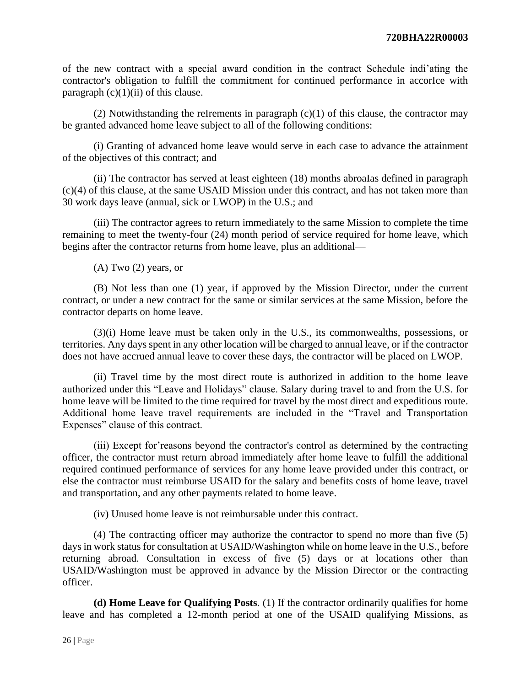of the new contract with a special award condition in the contract Schedule indi'ating the contractor's obligation to fulfill the commitment for continued performance in accorIce with paragraph  $(c)(1)(ii)$  of this clause.

(2) Notwithstanding the reIrements in paragraph  $(c)(1)$  of this clause, the contractor may be granted advanced home leave subject to all of the following conditions:

(i) Granting of advanced home leave would serve in each case to advance the attainment of the objectives of this contract; and

(ii) The contractor has served at least eighteen (18) months abroaIas defined in paragraph (c)(4) of this clause, at the same USAID Mission under this contract, and has not taken more than 30 work days leave (annual, sick or LWOP) in the U.S.; and

(iii) The contractor agrees to return immediately to the same Mission to complete the time remaining to meet the twenty-four (24) month period of service required for home leave, which begins after the contractor returns from home leave, plus an additional—

(A) Two (2) years, or

(B) Not less than one (1) year, if approved by the Mission Director, under the current contract, or under a new contract for the same or similar services at the same Mission, before the contractor departs on home leave.

(3)(i) Home leave must be taken only in the U.S., its commonwealths, possessions, or territories. Any days spent in any other location will be charged to annual leave, or if the contractor does not have accrued annual leave to cover these days, the contractor will be placed on LWOP.

(ii) Travel time by the most direct route is authorized in addition to the home leave authorized under this "Leave and Holidays" clause. Salary during travel to and from the U.S. for home leave will be limited to the time required for travel by the most direct and expeditious route. Additional home leave travel requirements are included in the "Travel and Transportation Expenses" clause of this contract.

(iii) Except for'reasons beyond the contractor's control as determined by the contracting officer, the contractor must return abroad immediately after home leave to fulfill the additional required continued performance of services for any home leave provided under this contract, or else the contractor must reimburse USAID for the salary and benefits costs of home leave, travel and transportation, and any other payments related to home leave.

(iv) Unused home leave is not reimbursable under this contract.

(4) The contracting officer may authorize the contractor to spend no more than five (5) days in work status for consultation at USAID/Washington while on home leave in the U.S., before returning abroad. Consultation in excess of five (5) days or at locations other than USAID/Washington must be approved in advance by the Mission Director or the contracting officer.

**(d) Home Leave for Qualifying Posts***.* (1) If the contractor ordinarily qualifies for home leave and has completed a 12-month period at one of the USAID qualifying Missions, as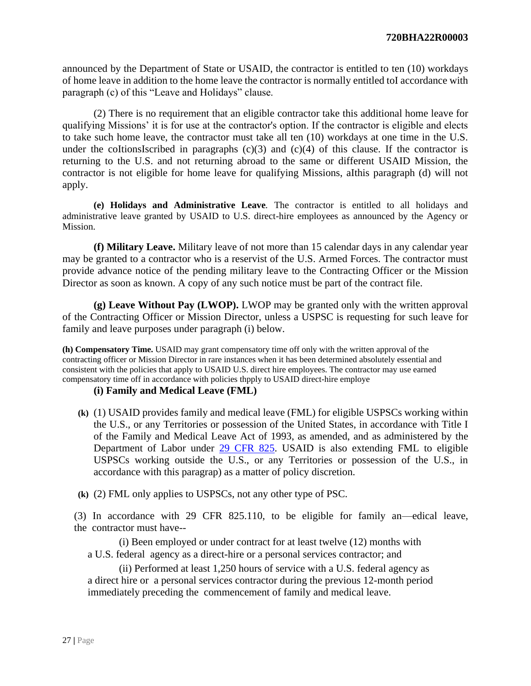announced by the Department of State or USAID, the contractor is entitled to ten (10) workdays of home leave in addition to the home leave the contractor is normally entitled toI accordance with paragraph (c) of this "Leave and Holidays" clause.

(2) There is no requirement that an eligible contractor take this additional home leave for qualifying Missions' it is for use at the contractor's option. If the contractor is eligible and elects to take such home leave, the contractor must take all ten (10) workdays at one time in the U.S. under the coItionsIscribed in paragraphs  $(c)(3)$  and  $(c)(4)$  of this clause. If the contractor is returning to the U.S. and not returning abroad to the same or different USAID Mission, the contractor is not eligible for home leave for qualifying Missions, aIthis paragraph (d) will not apply.

**(e) Holidays and Administrative Leave***.* The contractor is entitled to all holidays and administrative leave granted by USAID to U.S. direct-hire employees as announced by the Agency or Mission.

**(f) Military Leave.** Military leave of not more than 15 calendar days in any calendar year may be granted to a contractor who is a reservist of the U.S. Armed Forces. The contractor must provide advance notice of the pending military leave to the Contracting Officer or the Mission Director as soon as known. A copy of any such notice must be part of the contract file.

**(g) Leave Without Pay (LWOP).** LWOP may be granted only with the written approval of the Contracting Officer or Mission Director, unless a USPSC is requesting for such leave for family and leave purposes under paragraph (i) below.

**(h) Compensatory Time.** USAID may grant compensatory time off only with the written approval of the contracting officer or Mission Director in rare instances when it has been determined absolutely essential and consistent with the policies that apply to USAID U.S. direct hire employees. The contractor may use earned compensatory time off in accordance with policies thpply to USAID direct-hire employe

#### **(i) Family and Medical Leave (FML)**

- **(k)** (1) USAID provides family and medical leave (FML) for eligible USPSCs working within the U.S., or any Territories or possession of the United States, in accordance with Title I of the Family and Medical Leave Act of 1993, as amended, and as administered by the Department of Labor under [29 CFR 825.](https://www.ecfr.gov/cgi-bin/text-idx?SID=db0243f608afdb03943b0635a819c860&mc=true&tpl=/ecfrbrowse/Title29/29cfr825_main_02.tpl) USAID is also extending FML to eligible USPSCs working outside the U.S., or any Territories or possession of the U.S., in accordance with this paragrap) as a matter of policy discretion.
- **(k)** (2) FML only applies to USPSCs, not any other type of PSC.

(3) In accordance with 29 CFR 825.110, to be eligible for family an—edical leave, the contractor must have--

(i) Been employed or under contract for at least twelve (12) months with a U.S. federal agency as a direct-hire or a personal services contractor; and

(ii) Performed at least 1,250 hours of service with a U.S. federal agency as a direct hire or a personal services contractor during the previous 12-month period immediately preceding the commencement of family and medical leave.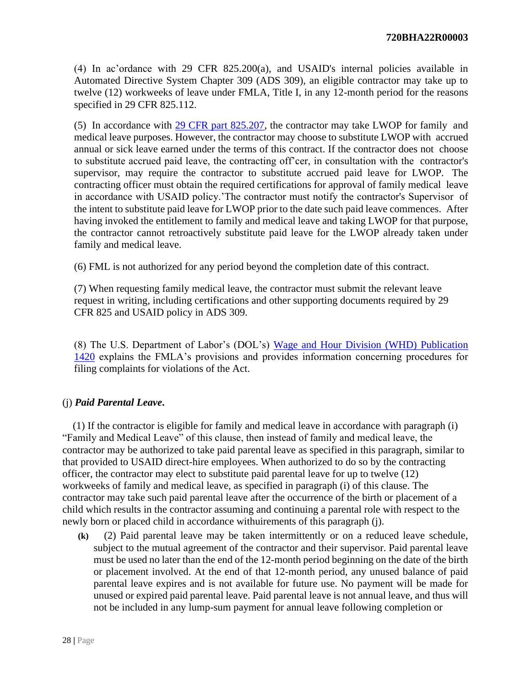(4) In ac'ordance with 29 CFR 825.200(a), and USAID's internal policies available in Automated Directive System Chapter 309 (ADS 309), an eligible contractor may take up to twelve (12) workweeks of leave under FMLA, Title I, in any 12-month period for the reasons specified in 29 CFR 825.112.

(5) In accordance with 29 CFR part 825.207, the contractor may take LWOP for family and medical leave purposes. However, the contractor may choose to substitute LWOP with accrued annual or sick leave earned under the terms of this contract. If the contractor does not choose to substitute accrued paid leave, the contracting off'cer, in consultation with the contractor's supervisor, may require the contractor to substitute accrued paid leave for LWOP. The contracting officer must obtain the required certifications for approval of family medical leave in accordance with USAID policy.'The contractor must notify the contractor's Supervisor of the intent to substitute paid leave for LWOP prior to the date such paid leave commences. After having invoked the entitlement to family and medical leave and taking LWOP for that purpose, the contractor cannot retroactively substitute paid leave for the LWOP already taken under family and medical leave.

(6) FML is not authorized for any period beyond the completion date of this contract.

(7) When requesting family medical leave, the contractor must submit the relevant leave request in writing, including certifications and other supporting documents required by 29 CFR 825 and USAID policy in ADS 309.

(8) The U.S. Department of Labor's (DOL's) [Wage and Hour Division \(WHD\) Publication](https://www.dol.gov/whd/regs/compliance/posters/fmlaen.pdf)  [1420](https://www.dol.gov/whd/regs/compliance/posters/fmlaen.pdf) explains the FMLA's provisions and provides information concerning procedures for filing complaints for violations of the Act.

### (j) *Paid Parental Leave***.**

 (1) If the contractor is eligible for family and medical leave in accordance with paragraph (i) "Family and Medical Leave" of this clause, then instead of family and medical leave, the contractor may be authorized to take paid parental leave as specified in this paragraph, similar to that provided to USAID direct-hire employees. When authorized to do so by the contracting officer, the contractor may elect to substitute paid parental leave for up to twelve (12) workweeks of family and medical leave, as specified in paragraph (i) of this clause. The contractor may take such paid parental leave after the occurrence of the birth or placement of a child which results in the contractor assuming and continuing a parental role with respect to the newly born or placed child in accordance withuirements of this paragraph (j).

**(k)** (2) Paid parental leave may be taken intermittently or on a reduced leave schedule, subject to the mutual agreement of the contractor and their supervisor. Paid parental leave must be used no later than the end of the 12-month period beginning on the date of the birth or placement involved. At the end of that 12-month period, any unused balance of paid parental leave expires and is not available for future use. No payment will be made for unused or expired paid parental leave. Paid parental leave is not annual leave, and thus will not be included in any lump-sum payment for annual leave following completion or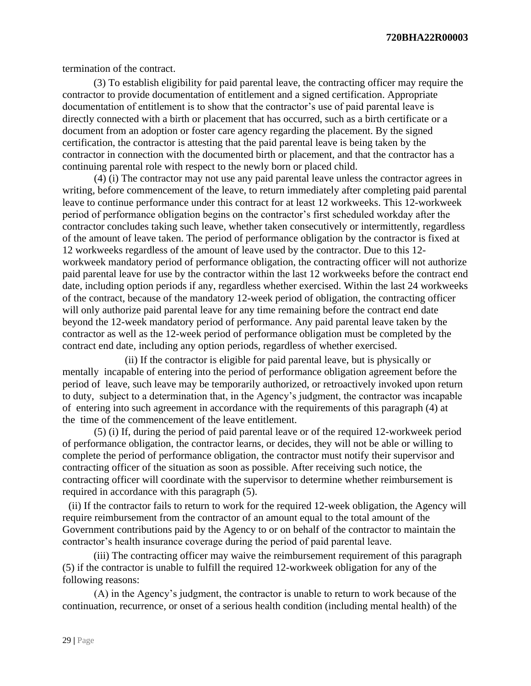**720BHA22R00003**

termination of the contract.

(3) To establish eligibility for paid parental leave, the contracting officer may require the contractor to provide documentation of entitlement and a signed certification. Appropriate documentation of entitlement is to show that the contractor's use of paid parental leave is directly connected with a birth or placement that has occurred, such as a birth certificate or a document from an adoption or foster care agency regarding the placement. By the signed certification, the contractor is attesting that the paid parental leave is being taken by the contractor in connection with the documented birth or placement, and that the contractor has a continuing parental role with respect to the newly born or placed child.

(4) (i) The contractor may not use any paid parental leave unless the contractor agrees in writing, before commencement of the leave, to return immediately after completing paid parental leave to continue performance under this contract for at least 12 workweeks. This 12-workweek period of performance obligation begins on the contractor's first scheduled workday after the contractor concludes taking such leave, whether taken consecutively or intermittently, regardless of the amount of leave taken. The period of performance obligation by the contractor is fixed at 12 workweeks regardless of the amount of leave used by the contractor. Due to this 12 workweek mandatory period of performance obligation, the contracting officer will not authorize paid parental leave for use by the contractor within the last 12 workweeks before the contract end date, including option periods if any, regardless whether exercised. Within the last 24 workweeks of the contract, because of the mandatory 12-week period of obligation, the contracting officer will only authorize paid parental leave for any time remaining before the contract end date beyond the 12-week mandatory period of performance. Any paid parental leave taken by the contractor as well as the 12-week period of performance obligation must be completed by the contract end date, including any option periods, regardless of whether exercised.

(ii) If the contractor is eligible for paid parental leave, but is physically or mentally incapable of entering into the period of performance obligation agreement before the period of leave, such leave may be temporarily authorized, or retroactively invoked upon return to duty, subject to a determination that, in the Agency's judgment, the contractor was incapable of entering into such agreement in accordance with the requirements of this paragraph (4) at the time of the commencement of the leave entitlement.

(5) (i) If, during the period of paid parental leave or of the required 12-workweek period of performance obligation, the contractor learns, or decides, they will not be able or willing to complete the period of performance obligation, the contractor must notify their supervisor and contracting officer of the situation as soon as possible. After receiving such notice, the contracting officer will coordinate with the supervisor to determine whether reimbursement is required in accordance with this paragraph (5).

(ii) If the contractor fails to return to work for the required 12-week obligation, the Agency will require reimbursement from the contractor of an amount equal to the total amount of the Government contributions paid by the Agency to or on behalf of the contractor to maintain the contractor's health insurance coverage during the period of paid parental leave.

(iii) The contracting officer may waive the reimbursement requirement of this paragraph (5) if the contractor is unable to fulfill the required 12-workweek obligation for any of the following reasons:

(A) in the Agency's judgment, the contractor is unable to return to work because of the continuation, recurrence, or onset of a serious health condition (including mental health) of the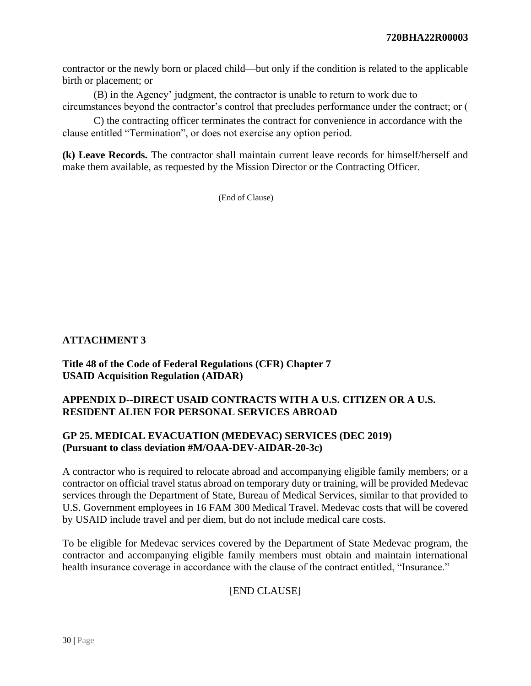contractor or the newly born or placed child—but only if the condition is related to the applicable birth or placement; or

(B) in the Agency' judgment, the contractor is unable to return to work due to circumstances beyond the contractor's control that precludes performance under the contract; or (

C) the contracting officer terminates the contract for convenience in accordance with the clause entitled "Termination", or does not exercise any option period.

**(k) Leave Records.** The contractor shall maintain current leave records for himself/herself and make them available, as requested by the Mission Director or the Contracting Officer.

(End of Clause)

### **ATTACHMENT 3**

**Title 48 of the Code of Federal Regulations (CFR) Chapter 7 USAID Acquisition Regulation (AIDAR)**

### **APPENDIX D--DIRECT USAID CONTRACTS WITH A U.S. CITIZEN OR A U.S. RESIDENT ALIEN FOR PERSONAL SERVICES ABROAD**

### **GP 25. MEDICAL EVACUATION (MEDEVAC) SERVICES (DEC 2019) (Pursuant to class deviation #M/OAA-DEV-AIDAR-20-3c)**

A contractor who is required to relocate abroad and accompanying eligible family members; or a contractor on official travel status abroad on temporary duty or training, will be provided Medevac services through the Department of State, Bureau of Medical Services, similar to that provided to U.S. Government employees in 16 FAM 300 Medical Travel. Medevac costs that will be covered by USAID include travel and per diem, but do not include medical care costs.

To be eligible for Medevac services covered by the Department of State Medevac program, the contractor and accompanying eligible family members must obtain and maintain international health insurance coverage in accordance with the clause of the contract entitled, "Insurance."

[END CLAUSE]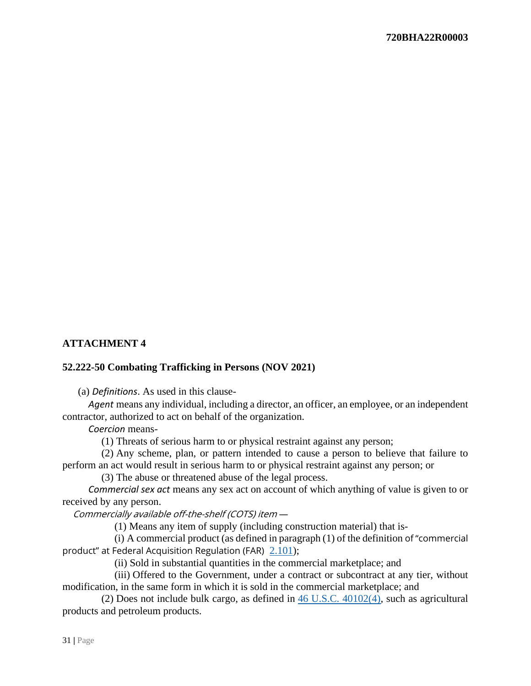# **ATTACHMENT 4**

#### **52.222-50 Combating Trafficking in Persons (NOV 2021)**

(a) *Definitions*. As used in this clause-

 *Agent* means any individual, including a director, an officer, an employee, or an independent contractor, authorized to act on behalf of the organization.

*Coercion* means-

(1) Threats of serious harm to or physical restraint against any person;

 (2) Any scheme, plan, or pattern intended to cause a person to believe that failure to perform an act would result in serious harm to or physical restraint against any person; or

(3) The abuse or threatened abuse of the legal process.

 *Commercial sex act* means any sex act on account of which anything of value is given to or received by any person.

Commercially available off-the-shelf (COTS) item —

(1) Means any item of supply (including construction material) that is-

 (i) A commercial product (as defined in paragraph (1) of the definition of "commercial product" at Federal Acquisition Regulation (FAR) [2.101\)](https://www.acquisition.gov/far/2.101#FAR_2_101);

(ii) Sold in substantial quantities in the commercial marketplace; and

 (iii) Offered to the Government, under a contract or subcontract at any tier, without modification, in the same form in which it is sold in the commercial marketplace; and

 (2) Does not include bulk cargo, as defined in [46 U.S.C. 40102\(4\),](http://uscode.house.gov/browse.xhtml;jsessionid=114A3287C7B3359E597506A31FC855B3) such as agricultural products and petroleum products.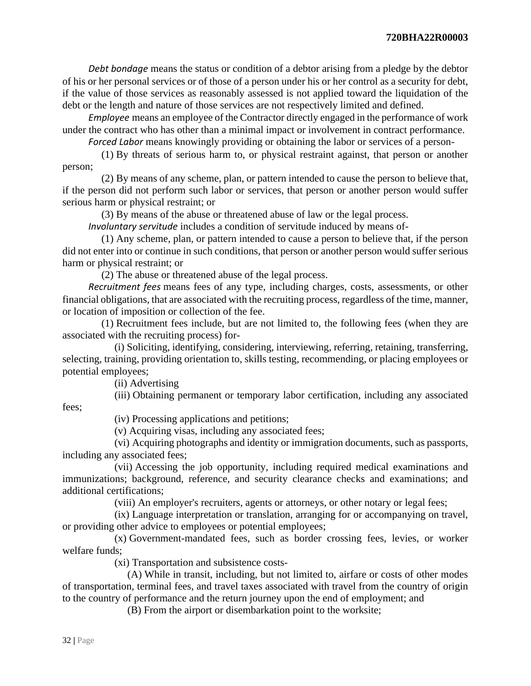*Debt bondage* means the status or condition of a debtor arising from a pledge by the debtor of his or her personal services or of those of a person under his or her control as a security for debt, if the value of those services as reasonably assessed is not applied toward the liquidation of the debt or the length and nature of those services are not respectively limited and defined.

 *Employee* means an employee of the Contractor directly engaged in the performance of work under the contract who has other than a minimal impact or involvement in contract performance.

*Forced Labor* means knowingly providing or obtaining the labor or services of a person-

 (1) By threats of serious harm to, or physical restraint against, that person or another person;

 (2) By means of any scheme, plan, or pattern intended to cause the person to believe that, if the person did not perform such labor or services, that person or another person would suffer serious harm or physical restraint; or

(3) By means of the abuse or threatened abuse of law or the legal process.

*Involuntary servitude* includes a condition of servitude induced by means of-

 (1) Any scheme, plan, or pattern intended to cause a person to believe that, if the person did not enter into or continue in such conditions, that person or another person would suffer serious harm or physical restraint; or

(2) The abuse or threatened abuse of the legal process.

 *Recruitment fees* means fees of any type, including charges, costs, assessments, or other financial obligations, that are associated with the recruiting process, regardless of the time, manner, or location of imposition or collection of the fee.

 (1) Recruitment fees include, but are not limited to, the following fees (when they are associated with the recruiting process) for-

 (i) Soliciting, identifying, considering, interviewing, referring, retaining, transferring, selecting, training, providing orientation to, skills testing, recommending, or placing employees or potential employees;

(ii) Advertising

(iii) Obtaining permanent or temporary labor certification, including any associated

fees;

(iv) Processing applications and petitions;

(v) Acquiring visas, including any associated fees;

 (vi) Acquiring photographs and identity or immigration documents, such as passports, including any associated fees;

 (vii) Accessing the job opportunity, including required medical examinations and immunizations; background, reference, and security clearance checks and examinations; and additional certifications;

(viii) An employer's recruiters, agents or attorneys, or other notary or legal fees;

 (ix) Language interpretation or translation, arranging for or accompanying on travel, or providing other advice to employees or potential employees;

 (x) Government-mandated fees, such as border crossing fees, levies, or worker welfare funds;

(xi) Transportation and subsistence costs-

 (A) While in transit, including, but not limited to, airfare or costs of other modes of transportation, terminal fees, and travel taxes associated with travel from the country of origin to the country of performance and the return journey upon the end of employment; and

(B) From the airport or disembarkation point to the worksite;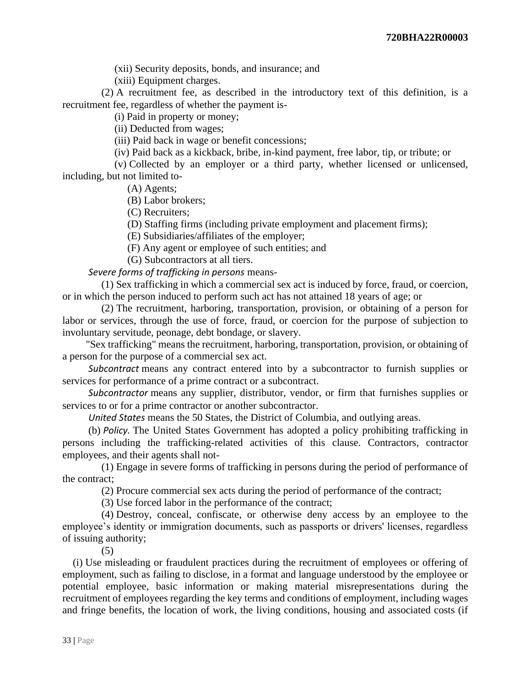(xii) Security deposits, bonds, and insurance; and

(xiii) Equipment charges.

 (2) A recruitment fee, as described in the introductory text of this definition, is a recruitment fee, regardless of whether the payment is-

(i) Paid in property or money;

(ii) Deducted from wages;

(iii) Paid back in wage or benefit concessions;

(iv) Paid back as a kickback, bribe, in-kind payment, free labor, tip, or tribute; or

 (v) Collected by an employer or a third party, whether licensed or unlicensed, including, but not limited to-

(A) Agents;

(B) Labor brokers;

(C) Recruiters;

(D) Staffing firms (including private employment and placement firms);

(E) Subsidiaries/affiliates of the employer;

(F) Any agent or employee of such entities; and

(G) Subcontractors at all tiers.

*Severe forms of trafficking in persons* means-

 (1) Sex trafficking in which a commercial sex act is induced by force, fraud, or coercion, or in which the person induced to perform such act has not attained 18 years of age; or

 (2) The recruitment, harboring, transportation, provision, or obtaining of a person for labor or services, through the use of force, fraud, or coercion for the purpose of subjection to involuntary servitude, peonage, debt bondage, or slavery.

 "Sex trafficking" means the recruitment, harboring, transportation, provision, or obtaining of a person for the purpose of a commercial sex act.

 *Subcontract* means any contract entered into by a subcontractor to furnish supplies or services for performance of a prime contract or a subcontract.

 *Subcontractor* means any supplier, distributor, vendor, or firm that furnishes supplies or services to or for a prime contractor or another subcontractor.

*United States* means the 50 States, the District of Columbia, and outlying areas.

 (b) *Policy.* The United States Government has adopted a policy prohibiting trafficking in persons including the trafficking-related activities of this clause. Contractors, contractor employees, and their agents shall not-

 (1) Engage in severe forms of trafficking in persons during the period of performance of the contract;

(2) Procure commercial sex acts during the period of performance of the contract;

(3) Use forced labor in the performance of the contract;

 (4) Destroy, conceal, confiscate, or otherwise deny access by an employee to the employee's identity or immigration documents, such as passports or drivers' licenses, regardless of issuing authority;

(5)

(i) Use misleading or fraudulent practices during the recruitment of employees or offering of employment, such as failing to disclose, in a format and language understood by the employee or potential employee, basic information or making material misrepresentations during the recruitment of employees regarding the key terms and conditions of employment, including wages and fringe benefits, the location of work, the living conditions, housing and associated costs (if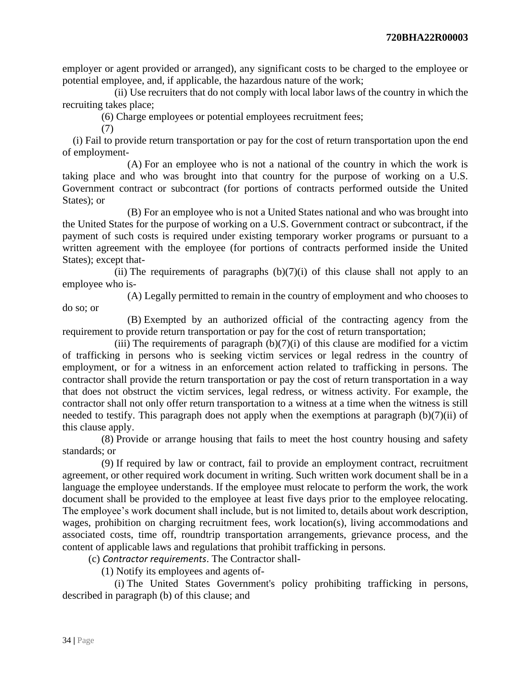employer or agent provided or arranged), any significant costs to be charged to the employee or potential employee, and, if applicable, the hazardous nature of the work;

 (ii) Use recruiters that do not comply with local labor laws of the country in which the recruiting takes place;

(6) Charge employees or potential employees recruitment fees;

(7)

(i) Fail to provide return transportation or pay for the cost of return transportation upon the end of employment-

 (A) For an employee who is not a national of the country in which the work is taking place and who was brought into that country for the purpose of working on a U.S. Government contract or subcontract (for portions of contracts performed outside the United States); or

 (B) For an employee who is not a United States national and who was brought into the United States for the purpose of working on a U.S. Government contract or subcontract, if the payment of such costs is required under existing temporary worker programs or pursuant to a written agreement with the employee (for portions of contracts performed inside the United States); except that-

(ii) The requirements of paragraphs  $(b)(7)(i)$  of this clause shall not apply to an employee who is-

 (A) Legally permitted to remain in the country of employment and who chooses to do so; or

 (B) Exempted by an authorized official of the contracting agency from the requirement to provide return transportation or pay for the cost of return transportation;

(iii) The requirements of paragraph  $(b)(7)(i)$  of this clause are modified for a victim of trafficking in persons who is seeking victim services or legal redress in the country of employment, or for a witness in an enforcement action related to trafficking in persons. The contractor shall provide the return transportation or pay the cost of return transportation in a way that does not obstruct the victim services, legal redress, or witness activity. For example, the contractor shall not only offer return transportation to a witness at a time when the witness is still needed to testify. This paragraph does not apply when the exemptions at paragraph  $(b)(7)(ii)$  of this clause apply.

 (8) Provide or arrange housing that fails to meet the host country housing and safety standards; or

 (9) If required by law or contract, fail to provide an employment contract, recruitment agreement, or other required work document in writing. Such written work document shall be in a language the employee understands. If the employee must relocate to perform the work, the work document shall be provided to the employee at least five days prior to the employee relocating. The employee's work document shall include, but is not limited to, details about work description, wages, prohibition on charging recruitment fees, work location(s), living accommodations and associated costs, time off, roundtrip transportation arrangements, grievance process, and the content of applicable laws and regulations that prohibit trafficking in persons.

(c) *Contractor requirements*. The Contractor shall-

(1) Notify its employees and agents of-

 (i) The United States Government's policy prohibiting trafficking in persons, described in paragraph (b) of this clause; and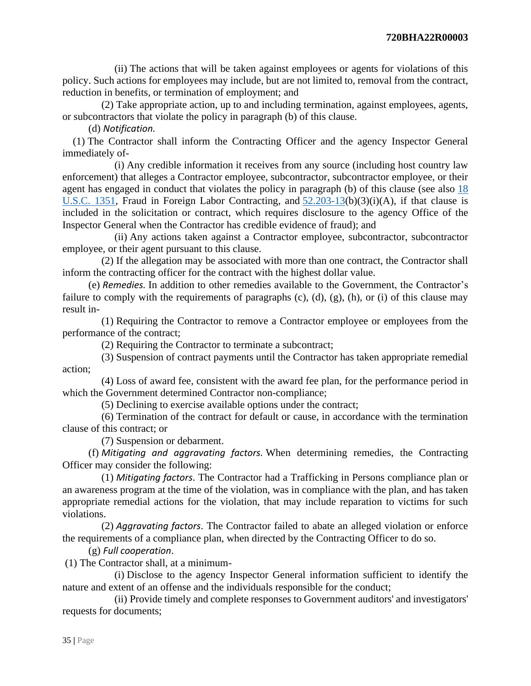(ii) The actions that will be taken against employees or agents for violations of this policy. Such actions for employees may include, but are not limited to, removal from the contract, reduction in benefits, or termination of employment; and

 (2) Take appropriate action, up to and including termination, against employees, agents, or subcontractors that violate the policy in paragraph (b) of this clause.

(d) *Notification.*

(1) The Contractor shall inform the Contracting Officer and the agency Inspector General immediately of-

 (i) Any credible information it receives from any source (including host country law enforcement) that alleges a Contractor employee, subcontractor, subcontractor employee, or their agent has engaged in conduct that violates the policy in paragraph (b) of this clause (see also [18](http://uscode.house.gov/browse.xhtml;jsessionid=114A3287C7B3359E597506A31FC855B3)  [U.S.C. 1351,](http://uscode.house.gov/browse.xhtml;jsessionid=114A3287C7B3359E597506A31FC855B3) Fraud in Foreign Labor Contracting, and  $52.203-13(b)(3)(i)(A)$  $52.203-13(b)(3)(i)(A)$ , if that clause is included in the solicitation or contract, which requires disclosure to the agency Office of the Inspector General when the Contractor has credible evidence of fraud); and

 (ii) Any actions taken against a Contractor employee, subcontractor, subcontractor employee, or their agent pursuant to this clause.

 (2) If the allegation may be associated with more than one contract, the Contractor shall inform the contracting officer for the contract with the highest dollar value.

 (e) *Remedies.* In addition to other remedies available to the Government, the Contractor's failure to comply with the requirements of paragraphs  $(c)$ ,  $(d)$ ,  $(g)$ ,  $(h)$ , or  $(i)$  of this clause may result in-

 (1) Requiring the Contractor to remove a Contractor employee or employees from the performance of the contract;

(2) Requiring the Contractor to terminate a subcontract;

 (3) Suspension of contract payments until the Contractor has taken appropriate remedial action;

 (4) Loss of award fee, consistent with the award fee plan, for the performance period in which the Government determined Contractor non-compliance;

(5) Declining to exercise available options under the contract;

 (6) Termination of the contract for default or cause, in accordance with the termination clause of this contract; or

(7) Suspension or debarment.

 (f) *Mitigating and aggravating factors.* When determining remedies, the Contracting Officer may consider the following:

 (1) *Mitigating factors*. The Contractor had a Trafficking in Persons compliance plan or an awareness program at the time of the violation, was in compliance with the plan, and has taken appropriate remedial actions for the violation, that may include reparation to victims for such violations.

 (2) *Aggravating factors*. The Contractor failed to abate an alleged violation or enforce the requirements of a compliance plan, when directed by the Contracting Officer to do so.

(g) *Full cooperation*.

(1) The Contractor shall, at a minimum-

 (i) Disclose to the agency Inspector General information sufficient to identify the nature and extent of an offense and the individuals responsible for the conduct;

 (ii) Provide timely and complete responses to Government auditors' and investigators' requests for documents;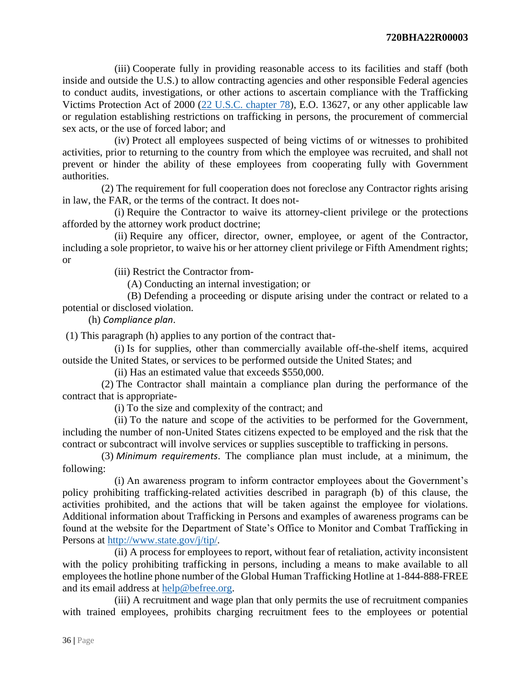(iii) Cooperate fully in providing reasonable access to its facilities and staff (both inside and outside the U.S.) to allow contracting agencies and other responsible Federal agencies to conduct audits, investigations, or other actions to ascertain compliance with the Trafficking Victims Protection Act of 2000 [\(22 U.S.C. chapter 78\)](http://uscode.house.gov/browse.xhtml;jsessionid=114A3287C7B3359E597506A31FC855B3), E.O. 13627, or any other applicable law or regulation establishing restrictions on trafficking in persons, the procurement of commercial sex acts, or the use of forced labor; and

 (iv) Protect all employees suspected of being victims of or witnesses to prohibited activities, prior to returning to the country from which the employee was recruited, and shall not prevent or hinder the ability of these employees from cooperating fully with Government authorities.

 (2) The requirement for full cooperation does not foreclose any Contractor rights arising in law, the FAR, or the terms of the contract. It does not-

 (i) Require the Contractor to waive its attorney-client privilege or the protections afforded by the attorney work product doctrine;

 (ii) Require any officer, director, owner, employee, or agent of the Contractor, including a sole proprietor, to waive his or her attorney client privilege or Fifth Amendment rights; or

(iii) Restrict the Contractor from-

(A) Conducting an internal investigation; or

 (B) Defending a proceeding or dispute arising under the contract or related to a potential or disclosed violation.

(h) *Compliance plan*.

(1) This paragraph (h) applies to any portion of the contract that-

 (i) Is for supplies, other than commercially available off-the-shelf items, acquired outside the United States, or services to be performed outside the United States; and

(ii) Has an estimated value that exceeds \$550,000.

 (2) The Contractor shall maintain a compliance plan during the performance of the contract that is appropriate-

(i) To the size and complexity of the contract; and

 (ii) To the nature and scope of the activities to be performed for the Government, including the number of non-United States citizens expected to be employed and the risk that the contract or subcontract will involve services or supplies susceptible to trafficking in persons.

 (3) *Minimum requirements*. The compliance plan must include, at a minimum, the following:

 (i) An awareness program to inform contractor employees about the Government's policy prohibiting trafficking-related activities described in paragraph (b) of this clause, the activities prohibited, and the actions that will be taken against the employee for violations. Additional information about Trafficking in Persons and examples of awareness programs can be found at the website for the Department of State's Office to Monitor and Combat Trafficking in Persons at [http://www.state.gov/j/tip/.](http://www.state.gov/j/tip/)

 (ii) A process for employees to report, without fear of retaliation, activity inconsistent with the policy prohibiting trafficking in persons, including a means to make available to all employees the hotline phone number of the Global Human Trafficking Hotline at 1-844-888-FREE and its email address at [help@befree.org.](mailto:help@befree.org)

 (iii) A recruitment and wage plan that only permits the use of recruitment companies with trained employees, prohibits charging recruitment fees to the employees or potential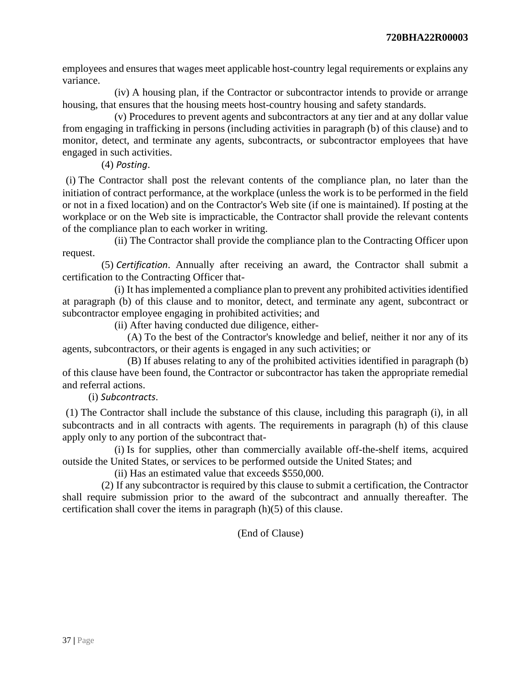employees and ensures that wages meet applicable host-country legal requirements or explains any variance.

 (iv) A housing plan, if the Contractor or subcontractor intends to provide or arrange housing, that ensures that the housing meets host-country housing and safety standards.

 (v) Procedures to prevent agents and subcontractors at any tier and at any dollar value from engaging in trafficking in persons (including activities in paragraph (b) of this clause) and to monitor, detect, and terminate any agents, subcontracts, or subcontractor employees that have engaged in such activities.

(4) *Posting*.

(i) The Contractor shall post the relevant contents of the compliance plan, no later than the initiation of contract performance, at the workplace (unless the work is to be performed in the field or not in a fixed location) and on the Contractor's Web site (if one is maintained). If posting at the workplace or on the Web site is impracticable, the Contractor shall provide the relevant contents of the compliance plan to each worker in writing.

 (ii) The Contractor shall provide the compliance plan to the Contracting Officer upon request.

 (5) *Certification*. Annually after receiving an award, the Contractor shall submit a certification to the Contracting Officer that-

 (i) It has implemented a compliance plan to prevent any prohibited activities identified at paragraph (b) of this clause and to monitor, detect, and terminate any agent, subcontract or subcontractor employee engaging in prohibited activities; and

(ii) After having conducted due diligence, either-

 (A) To the best of the Contractor's knowledge and belief, neither it nor any of its agents, subcontractors, or their agents is engaged in any such activities; or

 (B) If abuses relating to any of the prohibited activities identified in paragraph (b) of this clause have been found, the Contractor or subcontractor has taken the appropriate remedial and referral actions.

(i) *Subcontracts*.

(1) The Contractor shall include the substance of this clause, including this paragraph (i), in all subcontracts and in all contracts with agents. The requirements in paragraph (h) of this clause apply only to any portion of the subcontract that-

 (i) Is for supplies, other than commercially available off-the-shelf items, acquired outside the United States, or services to be performed outside the United States; and

(ii) Has an estimated value that exceeds \$550,000.

 (2) If any subcontractor is required by this clause to submit a certification, the Contractor shall require submission prior to the award of the subcontract and annually thereafter. The certification shall cover the items in paragraph (h)(5) of this clause.

(End of Clause)